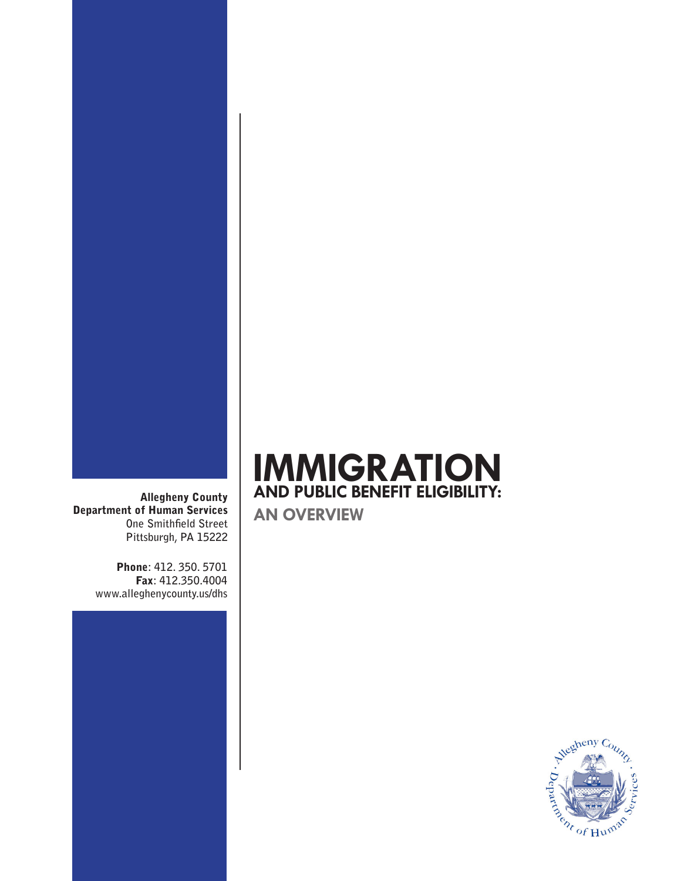

Allegheny County Department of Human Services **One Smithfield Street Pittsburgh, PA 15222**

> Phone**: 412. 350. 5701** Fax**: 412.350.4004 www.alleghenycounty.us/dhs**



**AN OVERVIEW**

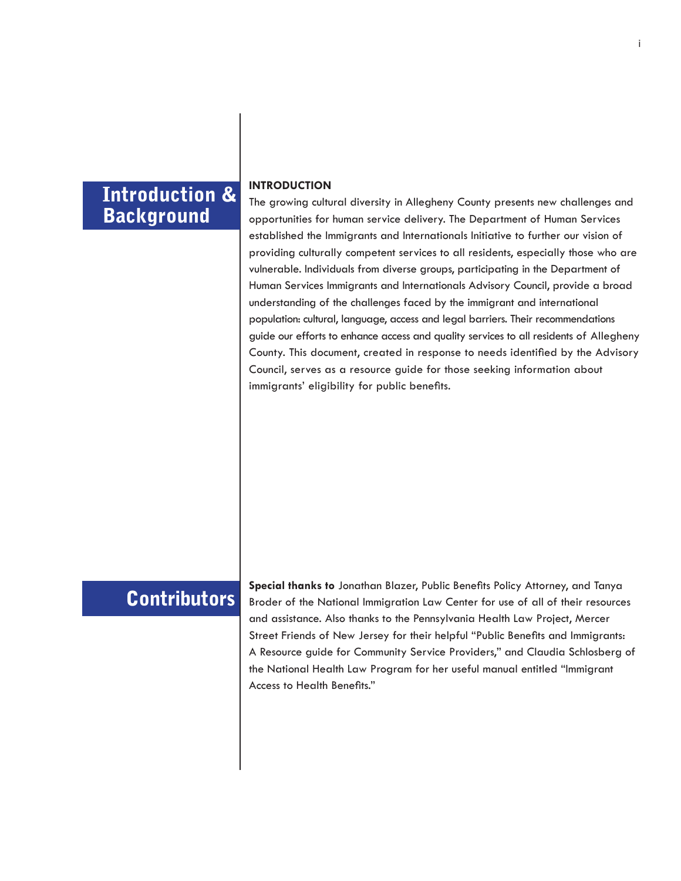# Introduction & **Background**

#### **INTRODUCTION**

The growing cultural diversity in Allegheny County presents new challenges and opportunities for human service delivery. The Department of Human Services established the Immigrants and Internationals Initiative to further our vision of providing culturally competent services to all residents, especially those who are vulnerable. Individuals from diverse groups, participating in the Department of Human Services Immigrants and Internationals Advisory Council, provide a broad understanding of the challenges faced by the immigrant and international population: cultural, language, access and legal barriers. Their recommendations guide our efforts to enhance access and quality services to all residents of Allegheny County. This document, created in response to needs identified by the Advisory Council, serves as a resource guide for those seeking information about immigrants' eligibility for public benefits.

**Contributors** Special thanks to Jonathan Blazer, Public Benefits Policy Attorney, and Tanya<br>Broder of the National Immigration Law Center for use of all of their resource Broder of the National Immigration Law Center for use of all of their resources and assistance. Also thanks to the Pennsylvania Health Law Project, Mercer Street Friends of New Jersey for their helpful "Public Benefits and Immigrants: A Resource guide for Community Service Providers," and Claudia Schlosberg of the National Health Law Program for her useful manual entitled "Immigrant Access to Health Benefits."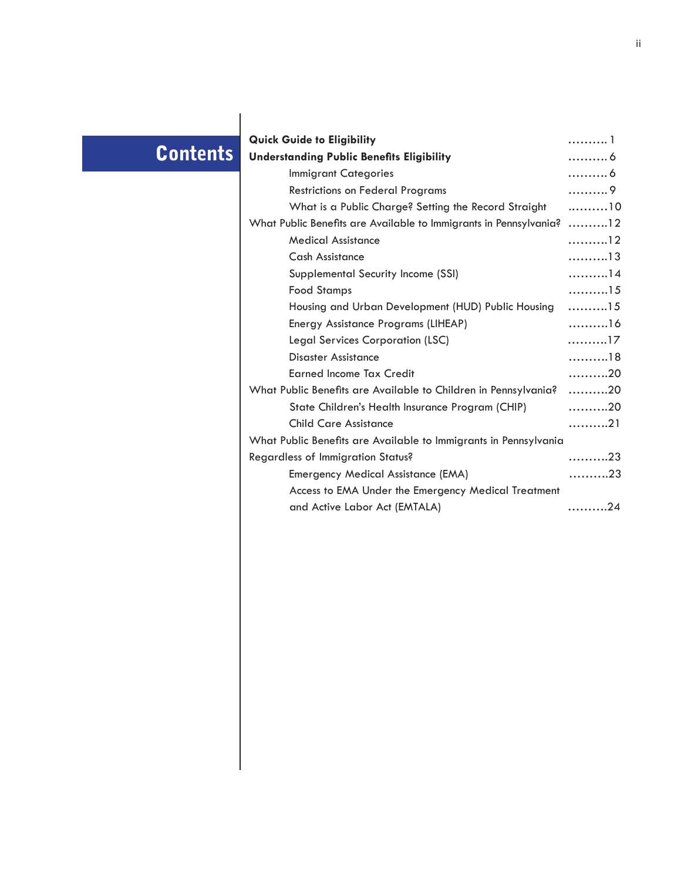# **Contents**

| <b>Quick Guide to Eligibility</b>                                    | . 1                   |
|----------------------------------------------------------------------|-----------------------|
| <b>Understanding Public Benefits Eligibility</b>                     | . 6                   |
| <b>Immigrant Categories</b>                                          | . 6                   |
| <b>Restrictions on Federal Programs</b>                              | . 9                   |
| What is a Public Charge? Setting the Record Straight                 | 10                    |
| What Public Benefits are Available to Immigrants in Pennsylvania? 12 |                       |
| <b>Medical Assistance</b>                                            | 12                    |
| <b>Cash Assistance</b>                                               | 13                    |
| Supplemental Security Income (SSI)                                   | $\dots\dots\dots$ ] 4 |
| <b>Food Stamps</b>                                                   | 15                    |
| Housing and Urban Development (HUD) Public Housing 15                |                       |
| Energy Assistance Programs (LIHEAP)                                  | 16                    |
| <b>Legal Services Corporation (LSC)</b>                              | 17                    |
| Disaster Assistance                                                  | 18                    |
| <b>Earned Income Tax Credit</b>                                      | 20                    |
| What Public Benefits are Available to Children in Pennsylvania?      | 20                    |
| State Children's Health Insurance Program (CHIP)                     | . 20                  |
| <b>Child Care Assistance</b>                                         | 21                    |
| What Public Benefits are Available to Immigrants in Pennsylvania     |                       |
| <b>Regardless of Immigration Status?</b>                             | 23                    |
| Emergency Medical Assistance (EMA)                                   | . 23                  |
| Access to EMA Under the Emergency Medical Treatment                  |                       |
| and Active Labor Act (EMTALA)                                        | . 24                  |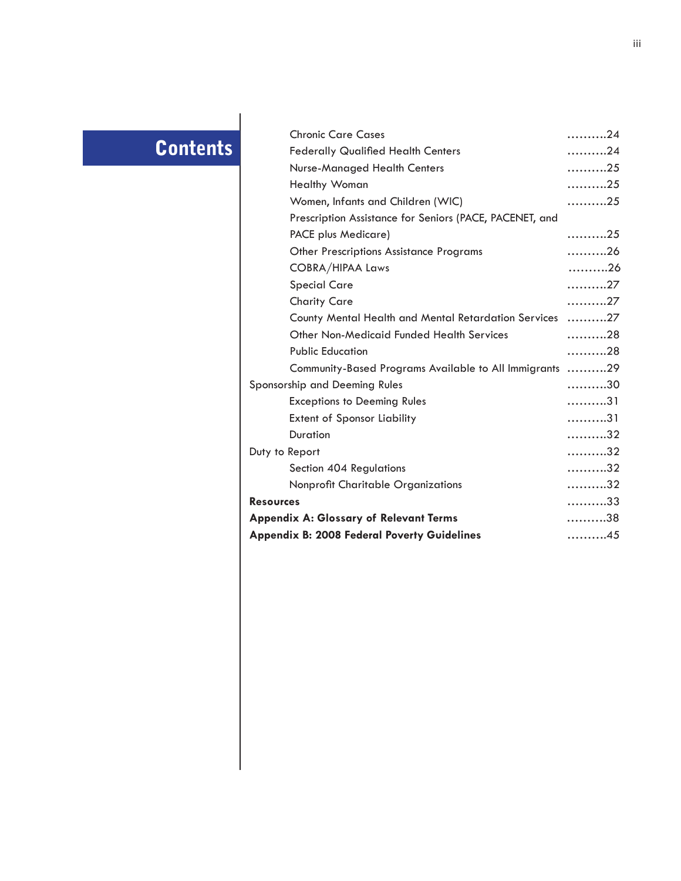# **Contents**

|                  | <b>Chronic Care Cases</b>                               | 24   |
|------------------|---------------------------------------------------------|------|
|                  | <b>Federally Qualified Health Centers</b>               | 24   |
|                  | Nurse-Managed Health Centers                            | 25   |
|                  | <b>Healthy Woman</b>                                    | 25   |
|                  | Women, Infants and Children (WIC)                       | 25   |
|                  | Prescription Assistance for Seniors (PACE, PACENET, and |      |
|                  | PACE plus Medicare)                                     | . 25 |
|                  | <b>Other Prescriptions Assistance Programs</b>          | 26   |
|                  | <b>COBRA/HIPAA Laws</b>                                 | 26   |
|                  | <b>Special Care</b>                                     | 27   |
|                  | <b>Charity Care</b>                                     | . 27 |
|                  | County Mental Health and Mental Retardation Services    | 27   |
|                  | <b>Other Non-Medicaid Funded Health Services</b>        | 28   |
|                  | <b>Public Education</b>                                 | 28   |
|                  | Community-Based Programs Available to All Immigrants 29 |      |
|                  | Sponsorship and Deeming Rules                           |      |
|                  | <b>Exceptions to Deeming Rules</b>                      | 31   |
|                  | <b>Extent of Sponsor Liability</b>                      | 31   |
|                  | Duration                                                | 32   |
| Duty to Report   |                                                         | 32   |
|                  | Section 404 Regulations                                 | 32   |
|                  | Nonprofit Charitable Organizations                      | 32   |
| <b>Resources</b> |                                                         | 33   |
|                  | <b>Appendix A: Glossary of Relevant Terms</b>           | . 38 |
|                  | <b>Appendix B: 2008 Federal Poverty Guidelines</b>      | 45   |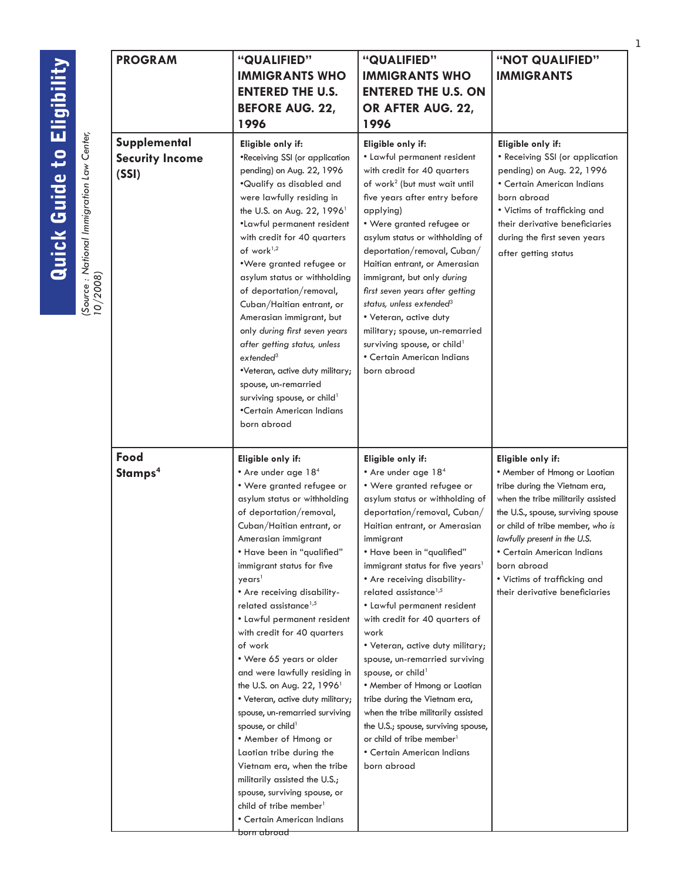**Quick Guide to Eligibility** Quick Guide to Eligibility *10/2008) (Source : National Immigration Law Center,* 

| <b>PROGRAM</b>                                  | "QUALIFIED"<br><b>IMMIGRANTS WHO</b><br><b>ENTERED THE U.S.</b><br><b>BEFORE AUG. 22,</b><br>1996                                                                                                                                                                                                                                                                                                                                                                                                                                                                                                                                                                                                                                                                                                                                                                                   | "QUALIFIED"<br><b>IMMIGRANTS WHO</b><br><b>ENTERED THE U.S. ON</b><br>OR AFTER AUG. 22,<br>1996                                                                                                                                                                                                                                                                                                                                                                                                                                                                                                                                                                                                                                                            | "NOT QUALIFIED"<br><b>IMMIGRANTS</b>                                                                                                                                                                                                                                                                                                              |
|-------------------------------------------------|-------------------------------------------------------------------------------------------------------------------------------------------------------------------------------------------------------------------------------------------------------------------------------------------------------------------------------------------------------------------------------------------------------------------------------------------------------------------------------------------------------------------------------------------------------------------------------------------------------------------------------------------------------------------------------------------------------------------------------------------------------------------------------------------------------------------------------------------------------------------------------------|------------------------------------------------------------------------------------------------------------------------------------------------------------------------------------------------------------------------------------------------------------------------------------------------------------------------------------------------------------------------------------------------------------------------------------------------------------------------------------------------------------------------------------------------------------------------------------------------------------------------------------------------------------------------------------------------------------------------------------------------------------|---------------------------------------------------------------------------------------------------------------------------------------------------------------------------------------------------------------------------------------------------------------------------------------------------------------------------------------------------|
| Supplemental<br><b>Security Income</b><br>(SSI) | Eligible only if:<br>*Receiving SSI (or application<br>pending) on Aug. 22, 1996<br>.Qualify as disabled and<br>were lawfully residing in<br>the U.S. on Aug. 22, 1996 <sup>1</sup><br>*Lawful permanent resident<br>with credit for 40 quarters<br>of work <sup>1,2</sup><br>*Were granted refugee or<br>asylum status or withholding<br>of deportation/removal,<br>Cuban/Haitian entrant, or<br>Amerasian immigrant, but<br>only during first seven years<br>after getting status, unless<br>extended <sup>3</sup><br>*Veteran, active duty military;<br>spouse, un-remarried<br>surviving spouse, or child <sup>1</sup><br>•Certain American Indians<br>born abroad                                                                                                                                                                                                              | Eligible only if:<br>• Lawful permanent resident<br>with credit for 40 quarters<br>of work <sup>2</sup> (but must wait until<br>five years after entry before<br>applying)<br>• Were granted refugee or<br>asylum status or withholding of<br>deportation/removal, Cuban/<br>Haitian entrant, or Amerasian<br>immigrant, but only during<br>first seven years after getting<br>status, unless extended <sup>3</sup><br>• Veteran, active duty<br>military; spouse, un-remarried<br>surviving spouse, or child <sup>1</sup><br>• Certain American Indians<br>born abroad                                                                                                                                                                                    | Eligible only if:<br>• Receiving SSI (or application<br>pending) on Aug. 22, 1996<br>• Certain American Indians<br>born abroad<br>• Victims of trafficking and<br>their derivative beneficiaries<br>during the first seven years<br>after getting status                                                                                          |
| Food<br>Stamps <sup>4</sup>                     | Eligible only if:<br>• Are under age 184<br>• Were granted refugee or<br>asylum status or withholding<br>of deportation/removal,<br>Cuban/Haitian entrant, or<br>Amerasian immigrant<br>* Have been in "qualified"<br>immigrant status for five<br>years <sup>1</sup><br>• Are receiving disability-<br>related assistance <sup>1,5</sup><br>• Lawful permanent resident<br>with credit for 40 quarters<br>of work<br>• Were 65 years or older<br>and were lawfully residing in<br>the U.S. on Aug. 22, 1996 <sup>1</sup><br>• Veteran, active duty military;<br>spouse, un-remarried surviving<br>spouse, or child <sup>1</sup><br>• Member of Hmong or<br>Laotian tribe during the<br>Vietnam era, when the tribe<br>militarily assisted the U.S.;<br>spouse, surviving spouse, or<br>child of tribe member <sup>1</sup><br>• Certain American Indians<br><del>born abroad-</del> | Eligible only if:<br>• Are under age 18 <sup>4</sup><br>• Were granted refugee or<br>asylum status or withholding of<br>deportation/removal, Cuban/<br>Haitian entrant, or Amerasian<br>immigrant<br>• Have been in "qualified"<br>immigrant status for five years <sup>1</sup><br>• Are receiving disability-<br>related assistance <sup>1,5</sup><br>• Lawful permanent resident<br>with credit for 40 quarters of<br>work<br>• Veteran, active duty military;<br>spouse, un-remarried surviving<br>spouse, or child <sup>1</sup><br>• Member of Hmong or Laotian<br>tribe during the Vietnam era,<br>when the tribe militarily assisted<br>the U.S.; spouse, surviving spouse,<br>or child of tribe member<br>• Certain American Indians<br>born abroad | Eligible only if:<br>• Member of Hmong or Laotian<br>tribe during the Vietnam era,<br>when the tribe militarily assisted<br>the U.S., spouse, surviving spouse<br>or child of tribe member, who is<br>lawfully present in the U.S.<br>• Certain American Indians<br>born abroad<br>• Victims of trafficking and<br>their derivative beneficiaries |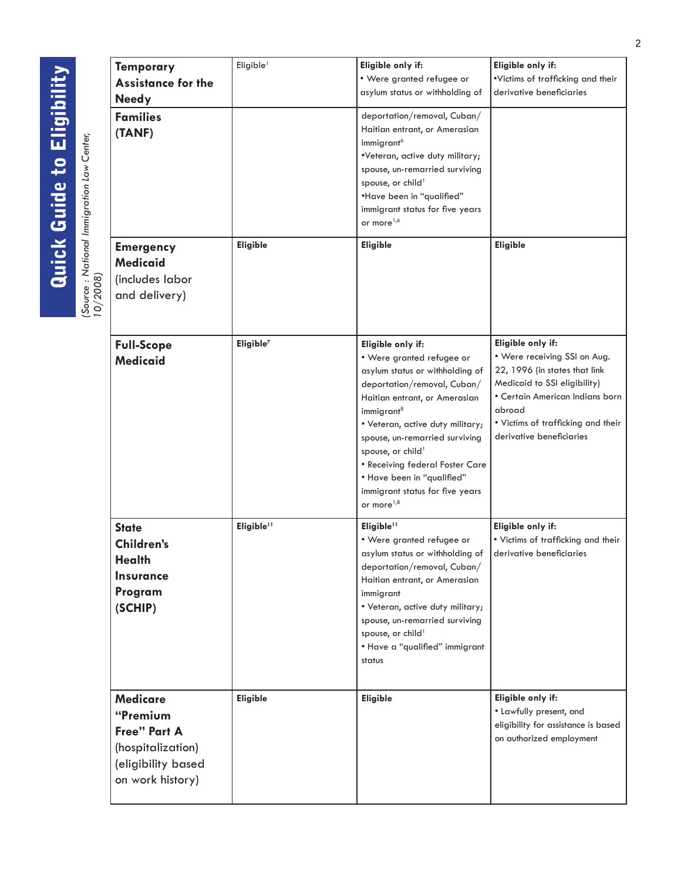**Quick Guide to Eligibility** Quick Guide to Eligibility *10/2008) (Source : National Immigration Law Center,* 

| <b>Temporary</b><br><b>Assistance for the</b><br><b>Needy</b>                                                     | Eligible <sup>1</sup>  | Eligible only if:<br>• Were granted refugee or<br>asylum status or withholding of                                                                                                                                                                                                                                                                                                                                | Eligible only if:<br>*Victims of trafficking and their<br>derivative beneficiaries                                                                                                                                                |
|-------------------------------------------------------------------------------------------------------------------|------------------------|------------------------------------------------------------------------------------------------------------------------------------------------------------------------------------------------------------------------------------------------------------------------------------------------------------------------------------------------------------------------------------------------------------------|-----------------------------------------------------------------------------------------------------------------------------------------------------------------------------------------------------------------------------------|
| <b>Families</b><br>(TANF)                                                                                         |                        | deportation/removal, Cuban/<br>Haitian entrant, or Amerasian<br>immigrant <sup>6</sup><br>*Veteran, active duty military;<br>spouse, un-remarried surviving<br>spouse, or child <sup>1</sup><br>*Have been in "qualified"<br>immigrant status for five years<br>or more <sup>1,6</sup>                                                                                                                           |                                                                                                                                                                                                                                   |
| <b>Emergency</b><br><b>Medicaid</b><br>(includes labor<br>and delivery)                                           | Eligible               | <b>Eligible</b>                                                                                                                                                                                                                                                                                                                                                                                                  | <b>Eligible</b>                                                                                                                                                                                                                   |
| <b>Full-Scope</b><br><b>Medicaid</b>                                                                              | Eligible <sup>7</sup>  | Eligible only if:<br>• Were granted refugee or<br>asylum status or withholding of<br>deportation/removal, Cuban/<br>Haitian entrant, or Amerasian<br>immigrant <sup>8</sup><br>• Veteran, active duty military;<br>spouse, un-remarried surviving<br>spouse, or child <sup>1</sup><br>• Receiving federal Foster Care<br>• Have been in "qualified"<br>immigrant status for five years<br>or more <sup>1,8</sup> | Eligible only if:<br>• Were receiving SSI on Aug.<br>22, 1996 (in states that link<br>Medicaid to SSI eligibility)<br>• Certain American Indians born<br>abroad<br>• Victims of trafficking and their<br>derivative beneficiaries |
| <b>State</b><br><b>Children's</b><br><b>Health</b><br><b>Insurance</b><br>Program<br>(SCHIP)                      | Eligible <sup>11</sup> | Eligible <sup>11</sup><br>• Were granted refugee or<br>asylum status or withholding of<br>deportation/removal, Cuban/<br>Haitian entrant, or Amerasian<br>immigrant<br>• Veteran, active duty military;<br>spouse, un-remarried surviving<br>spouse, or child <sup>1</sup><br>• Have a "qualified" immigrant<br>status                                                                                           | Eligible only if:<br>• Victims of trafficking and their<br>derivative beneficiaries                                                                                                                                               |
| <b>Medicare</b><br>"Premium<br><b>Free" Part A</b><br>(hospitalization)<br>(eligibility based<br>on work history) | <b>Eligible</b>        | Eligible                                                                                                                                                                                                                                                                                                                                                                                                         | Eligible only if:<br>• Lawfully present, and<br>eligibility for assistance is based<br>on authorized employment                                                                                                                   |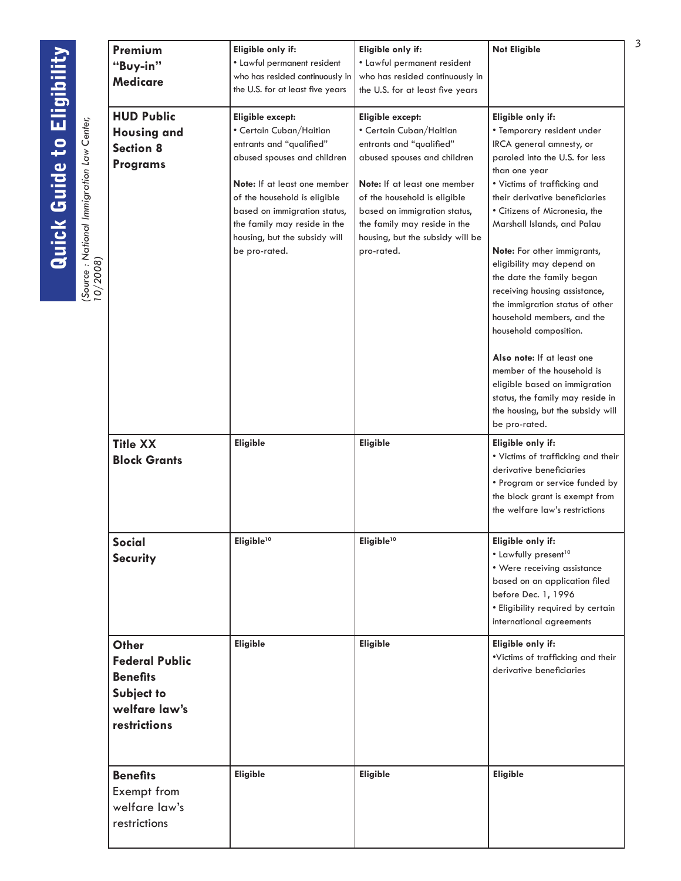| Premium<br>"Buy-in"<br><b>Medicare</b>                                                                         | Eligible only if:<br>• Lawful permanent resident<br>who has resided continuously in<br>the U.S. for at least five years                                                                                                                                                                          | Eligible only if:<br>• Lawful permanent resident<br>who has resided continuously in<br>the U.S. for at least five years                                                                                                                                                                         | <b>Not Eligible</b>                                                                                                                                                                                                                                                                                                                                                                                                                                                                                                                                                                                                                                                          |
|----------------------------------------------------------------------------------------------------------------|--------------------------------------------------------------------------------------------------------------------------------------------------------------------------------------------------------------------------------------------------------------------------------------------------|-------------------------------------------------------------------------------------------------------------------------------------------------------------------------------------------------------------------------------------------------------------------------------------------------|------------------------------------------------------------------------------------------------------------------------------------------------------------------------------------------------------------------------------------------------------------------------------------------------------------------------------------------------------------------------------------------------------------------------------------------------------------------------------------------------------------------------------------------------------------------------------------------------------------------------------------------------------------------------------|
| <b>HUD Public</b><br><b>Housing and</b><br><b>Section 8</b><br><b>Programs</b>                                 | Eligible except:<br>$\bullet$ Certain Cuban/Haitian<br>entrants and "qualified"<br>abused spouses and children<br>Note: If at least one member<br>of the household is eligible<br>based on immigration status,<br>the family may reside in the<br>housing, but the subsidy will<br>be pro-rated. | <b>Eligible except:</b><br>• Certain Cuban/Haitian<br>entrants and "qualified"<br>abused spouses and children<br>Note: If at least one member<br>of the household is eligible<br>based on immigration status,<br>the family may reside in the<br>housing, but the subsidy will be<br>pro-rated. | Eligible only if:<br>• Temporary resident under<br>IRCA general amnesty, or<br>paroled into the U.S. for less<br>than one year<br>• Victims of trafficking and<br>their derivative beneficiaries<br>• Citizens of Micronesia, the<br>Marshall Islands, and Palau<br>Note: For other immigrants,<br>eligibility may depend on<br>the date the family began<br>receiving housing assistance,<br>the immigration status of other<br>household members, and the<br>household composition.<br>Also note: If at least one<br>member of the household is<br>eligible based on immigration<br>status, the family may reside in<br>the housing, but the subsidy will<br>be pro-rated. |
| <b>Title XX</b><br><b>Block Grants</b>                                                                         | <b>Eligible</b>                                                                                                                                                                                                                                                                                  | <b>Eligible</b>                                                                                                                                                                                                                                                                                 | Eligible only if:<br>• Victims of trafficking and their<br>derivative beneficiaries<br>• Program or service funded by<br>the block grant is exempt from<br>the welfare law's restrictions                                                                                                                                                                                                                                                                                                                                                                                                                                                                                    |
| <b>Social</b><br><b>Security</b>                                                                               | Eligible <sup>10</sup>                                                                                                                                                                                                                                                                           | Eligible <sup>10</sup>                                                                                                                                                                                                                                                                          | Eligible only if:<br>• Lawfully present <sup>10</sup><br>• Were receiving assistance<br>based on an application filed<br>before Dec. 1, 1996<br>• Eligibility required by certain<br>international agreements                                                                                                                                                                                                                                                                                                                                                                                                                                                                |
| <b>Other</b><br><b>Federal Public</b><br><b>Benefits</b><br><b>Subject to</b><br>welfare law's<br>restrictions | <b>Eligible</b>                                                                                                                                                                                                                                                                                  | <b>Eligible</b>                                                                                                                                                                                                                                                                                 | Eligible only if:<br>*Victims of trafficking and their<br>derivative beneficiaries                                                                                                                                                                                                                                                                                                                                                                                                                                                                                                                                                                                           |
| <b>Benefits</b><br>Exempt from<br>welfare law's<br>restrictions                                                | <b>Eligible</b>                                                                                                                                                                                                                                                                                  | <b>Eligible</b>                                                                                                                                                                                                                                                                                 | <b>Eligible</b>                                                                                                                                                                                                                                                                                                                                                                                                                                                                                                                                                                                                                                                              |

**Quick Guide to Eligibility** Quick Guide to Eligibility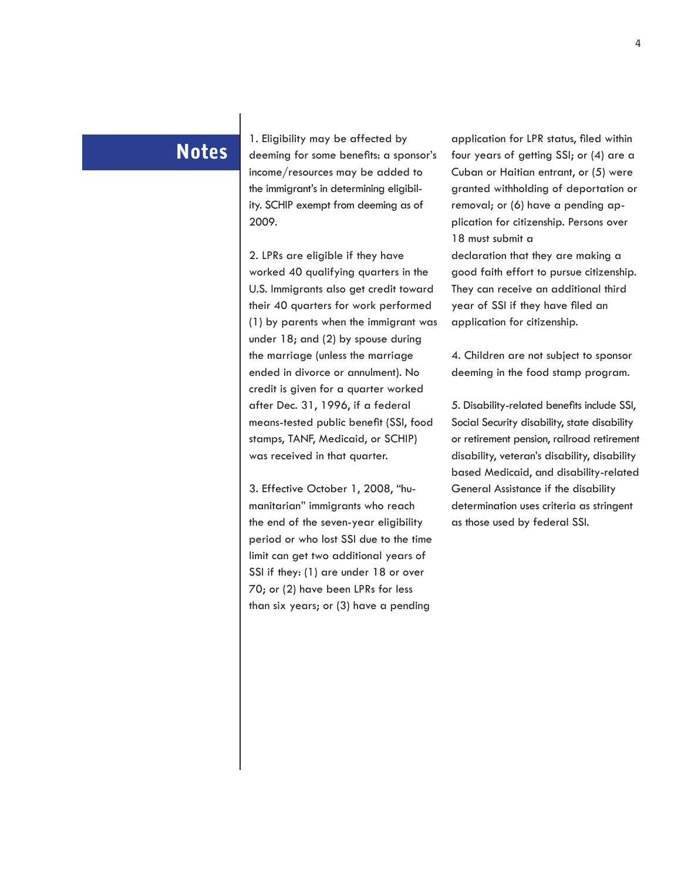$\overline{\text{Notes}}$  1. Eligibility may be affected by  $\overline{\text{Notes}}$ deeming for some benefits: a sponsor's income/resources may be added to the immigrant's in determining eligibility. SCHIP exempt from deeming as of 2009.

> 2. LPRs are eligible if they have worked 40 qualifying quarters in the U.S. Immigrants also get credit toward their 40 quarters for work performed (1) by parents when the immigrant was under 18; and (2) by spouse during the marriage (unless the marriage ended in divorce or annulment). No credit is given for a quarter worked after Dec. 31, 1996, if a federal means-tested public benefit (SSI, food stamps, TANF, Medicaid, or SCHIP) was received in that quarter.

3. Effective October 1, 2008, "humanitarian" immigrants who reach the end of the seven-year eligibility period or who lost SSI due to the time limit can get two additional years of SSI if they: (1) are under 18 or over 70; or (2) have been LPRs for less than six years; or (3) have a pending

application for LPR status, filed within four years of getting SSI; or (4) are a Cuban or Haitian entrant, or (5) were granted withholding of deportation or removal; or (6) have a pending application for citizenship. Persons over 18 must submit a

declaration that they are making a good faith effort to pursue citizenship. They can receive an additional third year of SSI if they have filed an application for citizenship.

4. Children are not subject to sponsor deeming in the food stamp program.

5. Disability-related benefits include SSI, Social Security disability, state disability or retirement pension, railroad retirement disability, veteran's disability, disability based Medicaid, and disability-related General Assistance if the disability determination uses criteria as stringent as those used by federal SSI.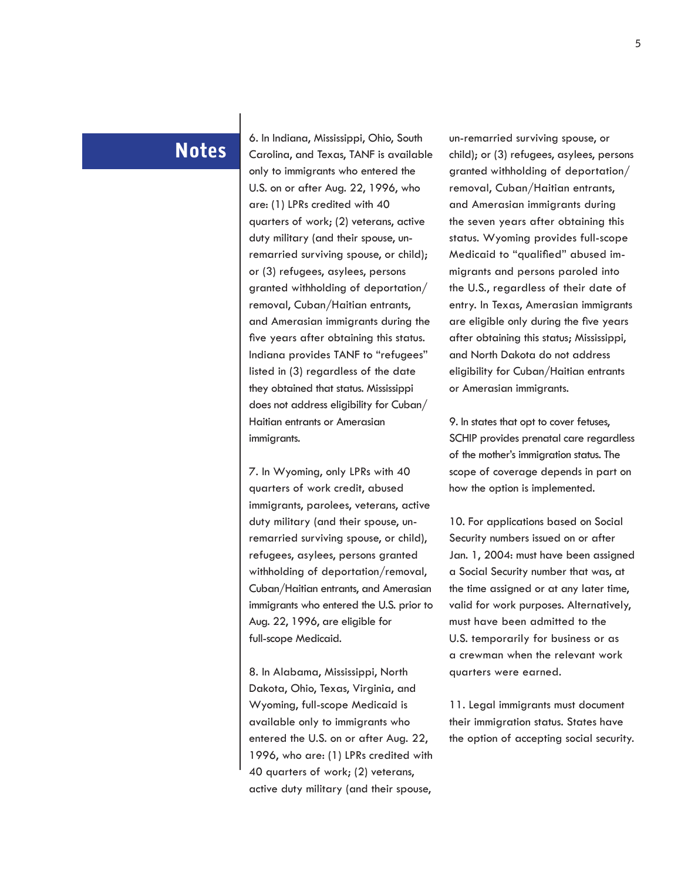6. In Indiana, Mississippi, Ohio, South<br> **NOTES** Carolina, and Texas, TANF is available only to immigrants who entered the U.S. on or after Aug. 22, 1996, who are: (1) LPRs credited with 40 quarters of work; (2) veterans, active duty military (and their spouse, unremarried surviving spouse, or child); or (3) refugees, asylees, persons granted withholding of deportation/ removal, Cuban/Haitian entrants, and Amerasian immigrants during the five years after obtaining this status. Indiana provides TANF to "refugees" listed in (3) regardless of the date they obtained that status. Mississippi does not address eligibility for Cuban/ Haitian entrants or Amerasian immigrants.

> 7. In Wyoming, only LPRs with 40 quarters of work credit, abused immigrants, parolees, veterans, active duty military (and their spouse, unremarried surviving spouse, or child), refugees, asylees, persons granted withholding of deportation/removal, Cuban/Haitian entrants, and Amerasian immigrants who entered the U.S. prior to Aug. 22, 1996, are eligible for full-scope Medicaid.

> 8. In Alabama, Mississippi, North Dakota, Ohio, Texas, Virginia, and Wyoming, full-scope Medicaid is available only to immigrants who entered the U.S. on or after Aug. 22, 1996, who are: (1) LPRs credited with 40 quarters of work; (2) veterans, active duty military (and their spouse,

un-remarried surviving spouse, or child); or (3) refugees, asylees, persons granted withholding of deportation/ removal, Cuban/Haitian entrants, and Amerasian immigrants during the seven years after obtaining this status. Wyoming provides full-scope Medicaid to "qualified" abused immigrants and persons paroled into the U.S., regardless of their date of entry. In Texas, Amerasian immigrants are eligible only during the five years after obtaining this status; Mississippi, and North Dakota do not address eligibility for Cuban/Haitian entrants or Amerasian immigrants.

9. In states that opt to cover fetuses, SCHIP provides prenatal care regardless of the mother's immigration status. The scope of coverage depends in part on how the option is implemented.

10. For applications based on Social Security numbers issued on or after Jan. 1, 2004: must have been assigned a Social Security number that was, at the time assigned or at any later time, valid for work purposes. Alternatively, must have been admitted to the U.S. temporarily for business or as a crewman when the relevant work quarters were earned.

11. Legal immigrants must document their immigration status. States have the option of accepting social security.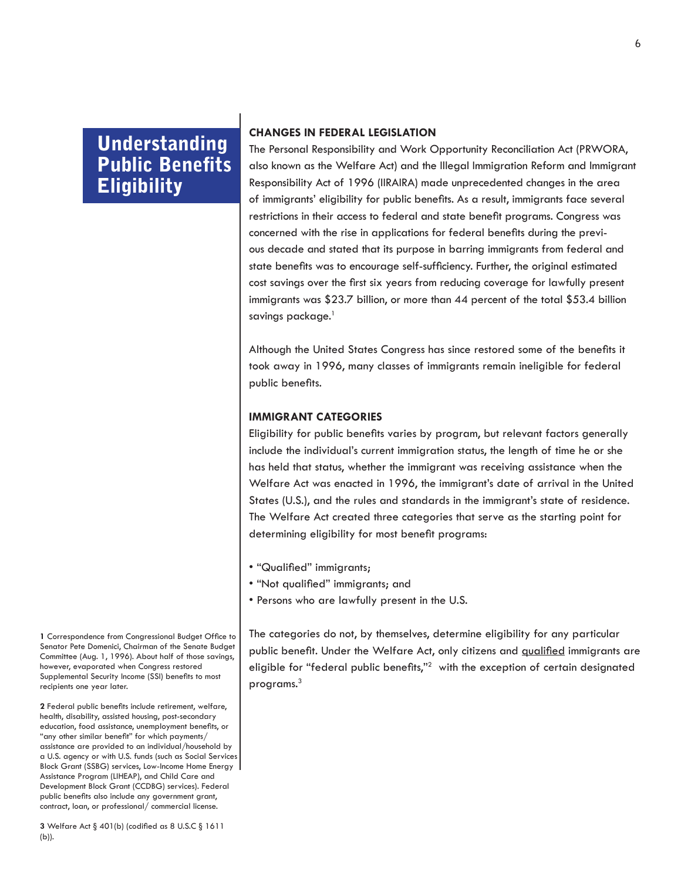#### **CHANGES IN FEDERAL LEGISLATION**

The Personal Responsibility and Work Opportunity Reconciliation Act (PRWORA, also known as the Welfare Act) and the Illegal Immigration Reform and Immigrant Responsibility Act of 1996 (IIRAIRA) made unprecedented changes in the area of immigrants' eligibility for public benefits. As a result, immigrants face several restrictions in their access to federal and state benefit programs. Congress was concerned with the rise in applications for federal benefits during the previous decade and stated that its purpose in barring immigrants from federal and state benefits was to encourage self-sufficiency. Further, the original estimated cost savings over the first six years from reducing coverage for lawfully present immigrants was \$23.7 billion, or more than 44 percent of the total \$53.4 billion savings package.<sup>1</sup>

Although the United States Congress has since restored some of the benefits it took away in 1996, many classes of immigrants remain ineligible for federal public benefits.

#### **IMMIGRANT CATEGORIES**

Eligibility for public benefits varies by program, but relevant factors generally include the individual's current immigration status, the length of time he or she has held that status, whether the immigrant was receiving assistance when the Welfare Act was enacted in 1996, the immigrant's date of arrival in the United States (U.S.), and the rules and standards in the immigrant's state of residence. The Welfare Act created three categories that serve as the starting point for determining eligibility for most benefit programs:

- "Qualified" immigrants;
- "Not qualified" immigrants; and
- Persons who are lawfully present in the U.S.

The categories do not, by themselves, determine eligibility for any particular public benefit. Under the Welfare Act, only citizens and qualified immigrants are eligible for "federal public benefits,"<sup>2</sup> with the exception of certain designated programs.3

**1** Correspondence from Congressional Budget Office to Senator Pete Domenici, Chairman of the Senate Budget Committee (Aug. 1, 1996). About half of those savings, however, evaporated when Congress restored Supplemental Security Income (SSI) benefits to most recipients one year later.

**2** Federal public benefits include retirement, welfare, health, disability, assisted housing, post-secondary education, food assistance, unemployment benefits, or "any other similar benefit" for which payments/ assistance are provided to an individual/household by a U.S. agency or with U.S. funds (such as Social Services Block Grant (SSBG) services, Low-Income Home Energy Assistance Program (LIHEAP), and Child Care and Development Block Grant (CCDBG) services). Federal public benefits also include any government grant, contract, loan, or professional/ commercial license.

**3** Welfare Act § 401(b) (codified as 8 U.S.C § 1611 (b)).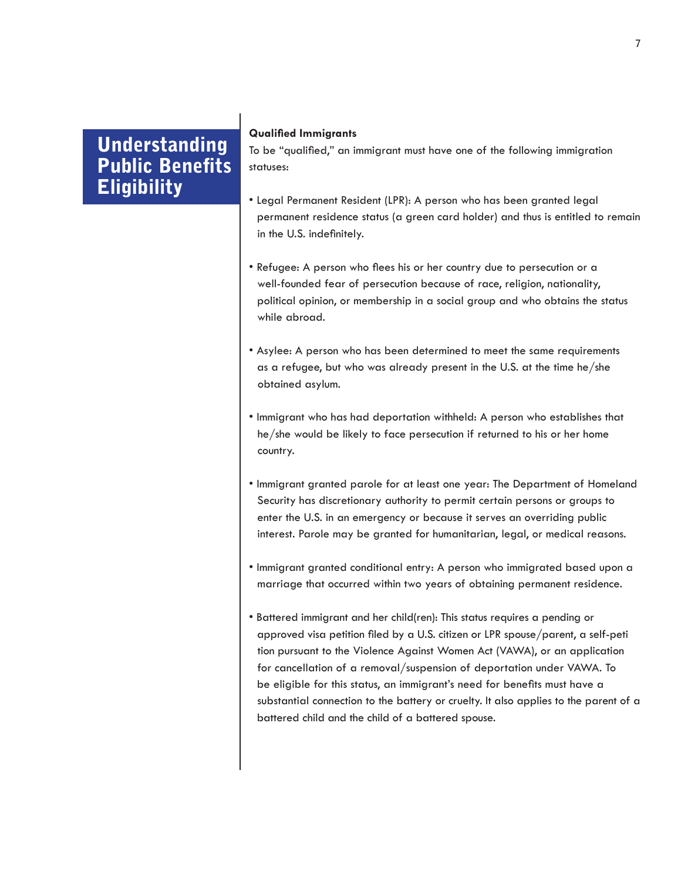#### **Qualified Immigrants**

To be "qualified," an immigrant must have one of the following immigration statuses:

- Legal Permanent Resident (LPR): A person who has been granted legal permanent residence status (a green card holder) and thus is entitled to remain in the U.S. indefinitely.
- Refugee: A person who flees his or her country due to persecution or a well-founded fear of persecution because of race, religion, nationality, political opinion, or membership in a social group and who obtains the status while abroad.
- Asylee: A person who has been determined to meet the same requirements as a refugee, but who was already present in the U.S. at the time he/she obtained asylum.
- Immigrant who has had deportation withheld: A person who establishes that he/she would be likely to face persecution if returned to his or her home country.
- Immigrant granted parole for at least one year: The Department of Homeland Security has discretionary authority to permit certain persons or groups to enter the U.S. in an emergency or because it serves an overriding public interest. Parole may be granted for humanitarian, legal, or medical reasons.
- Immigrant granted conditional entry: A person who immigrated based upon a marriage that occurred within two years of obtaining permanent residence.
- Battered immigrant and her child(ren): This status requires a pending or approved visa petition filed by a U.S. citizen or LPR spouse/parent, a self-peti tion pursuant to the Violence Against Women Act (VAWA), or an application for cancellation of a removal/suspension of deportation under VAWA. To be eligible for this status, an immigrant's need for benefits must have a substantial connection to the battery or cruelty. It also applies to the parent of a battered child and the child of a battered spouse.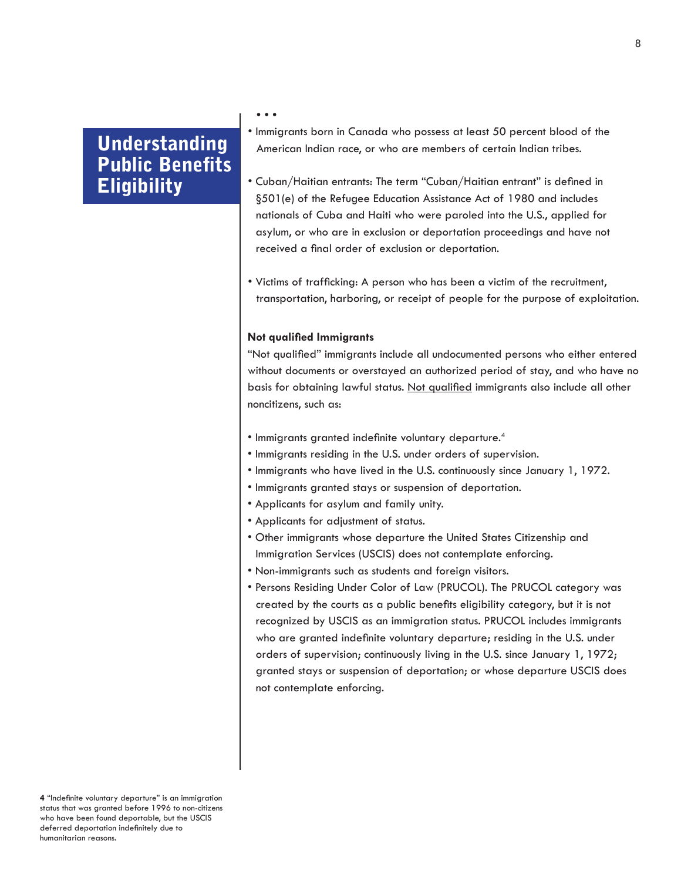- • •
- Immigrants born in Canada who possess at least 50 percent blood of the American Indian race, or who are members of certain Indian tribes.
- Cuban/Haitian entrants: The term "Cuban/Haitian entrant" is defined in §501(e) of the Refugee Education Assistance Act of 1980 and includes nationals of Cuba and Haiti who were paroled into the U.S., applied for asylum, or who are in exclusion or deportation proceedings and have not received a final order of exclusion or deportation.
- Victims of trafficking: A person who has been a victim of the recruitment, transportation, harboring, or receipt of people for the purpose of exploitation.

### **Not qualified Immigrants**

"Not qualified" immigrants include all undocumented persons who either entered without documents or overstayed an authorized period of stay, and who have no basis for obtaining lawful status. Not qualified immigrants also include all other noncitizens, such as:

- Immigrants granted indefinite voluntary departure.<sup>4</sup>
- Immigrants residing in the U.S. under orders of supervision.
- Immigrants who have lived in the U.S. continuously since January 1, 1972.
- Immigrants granted stays or suspension of deportation.
- Applicants for asylum and family unity.
- Applicants for adjustment of status.
- Other immigrants whose departure the United States Citizenship and Immigration Services (USCIS) does not contemplate enforcing.
- Non-immigrants such as students and foreign visitors.
- Persons Residing Under Color of Law (PRUCOL). The PRUCOL category was created by the courts as a public benefits eligibility category, but it is not recognized by USCIS as an immigration status. PRUCOL includes immigrants who are granted indefinite voluntary departure; residing in the U.S. under orders of supervision; continuously living in the U.S. since January 1, 1972; granted stays or suspension of deportation; or whose departure USCIS does not contemplate enforcing.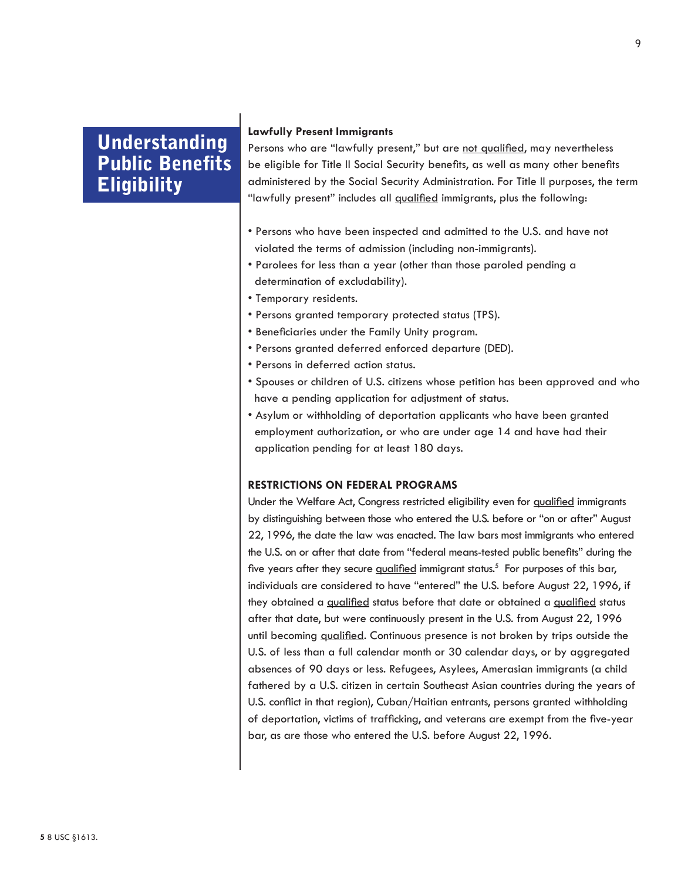#### **Lawfully Present Immigrants**

Persons who are "lawfully present," but are not qualified, may nevertheless be eligible for Title II Social Security benefits, as well as many other benefits administered by the Social Security Administration. For Title II purposes, the term "lawfully present" includes all qualified immigrants, plus the following:

- Persons who have been inspected and admitted to the U.S. and have not violated the terms of admission (including non-immigrants).
- Parolees for less than a year (other than those paroled pending a determination of excludability).
- Temporary residents.
- Persons granted temporary protected status (TPS).
- Beneficiaries under the Family Unity program.
- Persons granted deferred enforced departure (DED).
- Persons in deferred action status.
- Spouses or children of U.S. citizens whose petition has been approved and who have a pending application for adjustment of status.
- Asylum or withholding of deportation applicants who have been granted employment authorization, or who are under age 14 and have had their application pending for at least 180 days.

### **RESTRICTIONS ON FEDERAL PROGRAMS**

Under the Welfare Act, Congress restricted eligibility even for qualified immigrants by distinguishing between those who entered the U.S. before or "on or after" August 22, 1996, the date the law was enacted. The law bars most immigrants who entered the U.S. on or after that date from "federal means-tested public benefits" during the five years after they secure qualified immigrant status.<sup>5</sup> For purposes of this bar, individuals are considered to have "entered" the U.S. before August 22, 1996, if they obtained a qualified status before that date or obtained a qualified status after that date, but were continuously present in the U.S. from August 22, 1996 until becoming qualified. Continuous presence is not broken by trips outside the U.S. of less than a full calendar month or 30 calendar days, or by aggregated absences of 90 days or less. Refugees, Asylees, Amerasian immigrants (a child fathered by a U.S. citizen in certain Southeast Asian countries during the years of U.S. conflict in that region), Cuban/Haitian entrants, persons granted withholding of deportation, victims of trafficking, and veterans are exempt from the five-year bar, as are those who entered the U.S. before August 22, 1996.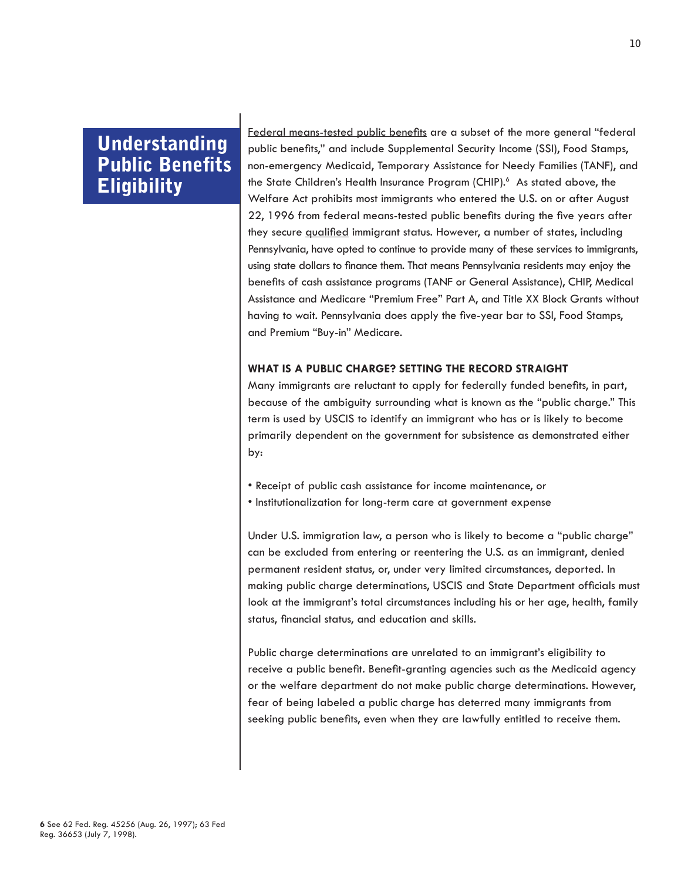Federal means-tested public benefits are a subset of the more general "federal public benefits," and include Supplemental Security Income (SSI), Food Stamps, non-emergency Medicaid, Temporary Assistance for Needy Families (TANF), and the State Children's Health Insurance Program (CHIP).<sup>6</sup> As stated above, the Welfare Act prohibits most immigrants who entered the U.S. on or after August 22, 1996 from federal means-tested public benefits during the five years after they secure qualified immigrant status. However, a number of states, including Pennsylvania, have opted to continue to provide many of these services to immigrants, using state dollars to finance them. That means Pennsylvania residents may enjoy the benefits of cash assistance programs (TANF or General Assistance), CHIP, Medical Assistance and Medicare "Premium Free" Part A, and Title XX Block Grants without having to wait. Pennsylvania does apply the five-year bar to SSI, Food Stamps, and Premium "Buy-in" Medicare.

### **WHAT IS A PUBLIC CHARGE? SETTING THE RECORD STRAIGHT**

Many immigrants are reluctant to apply for federally funded benefits, in part, because of the ambiguity surrounding what is known as the "public charge." This term is used by USCIS to identify an immigrant who has or is likely to become primarily dependent on the government for subsistence as demonstrated either by:

- Receipt of public cash assistance for income maintenance, or
- Institutionalization for long-term care at government expense

Under U.S. immigration law, a person who is likely to become a "public charge" can be excluded from entering or reentering the U.S. as an immigrant, denied permanent resident status, or, under very limited circumstances, deported. In making public charge determinations, USCIS and State Department officials must look at the immigrant's total circumstances including his or her age, health, family status, financial status, and education and skills.

Public charge determinations are unrelated to an immigrant's eligibility to receive a public benefit. Benefit-granting agencies such as the Medicaid agency or the welfare department do not make public charge determinations. However, fear of being labeled a public charge has deterred many immigrants from seeking public benefits, even when they are lawfully entitled to receive them.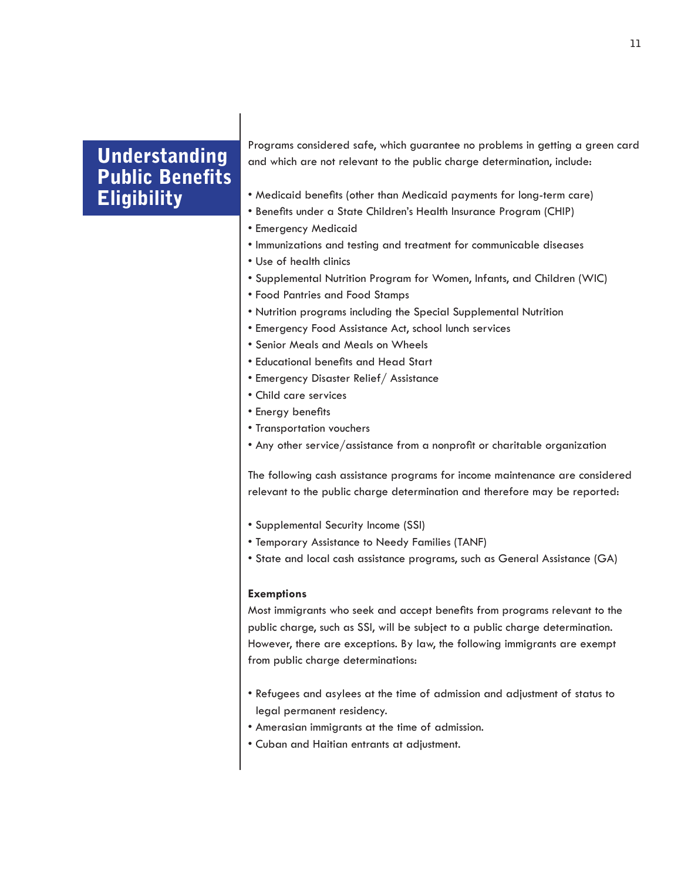Programs considered safe, which guarantee no problems in getting a green card and which are not relevant to the public charge determination, include:

- Medicaid benefits (other than Medicaid payments for long-term care)
- Benefits under a State Children's Health Insurance Program (CHIP)
- Emergency Medicaid
- Immunizations and testing and treatment for communicable diseases
- Use of health clinics
- Supplemental Nutrition Program for Women, Infants, and Children (WIC)
- Food Pantries and Food Stamps
- Nutrition programs including the Special Supplemental Nutrition
- Emergency Food Assistance Act, school lunch services
- Senior Meals and Meals on Wheels
- Educational benefits and Head Start
- Emergency Disaster Relief/ Assistance
- Child care services
- Energy benefits
- Transportation vouchers
- Any other service/assistance from a nonprofit or charitable organization

The following cash assistance programs for income maintenance are considered relevant to the public charge determination and therefore may be reported:

- Supplemental Security Income (SSI)
- Temporary Assistance to Needy Families (TANF)
- State and local cash assistance programs, such as General Assistance (GA)

#### **Exemptions**

Most immigrants who seek and accept benefits from programs relevant to the public charge, such as SSI, will be subject to a public charge determination. However, there are exceptions. By law, the following immigrants are exempt from public charge determinations:

- Refugees and asylees at the time of admission and adjustment of status to legal permanent residency.
- Amerasian immigrants at the time of admission.
- Cuban and Haitian entrants at adjustment.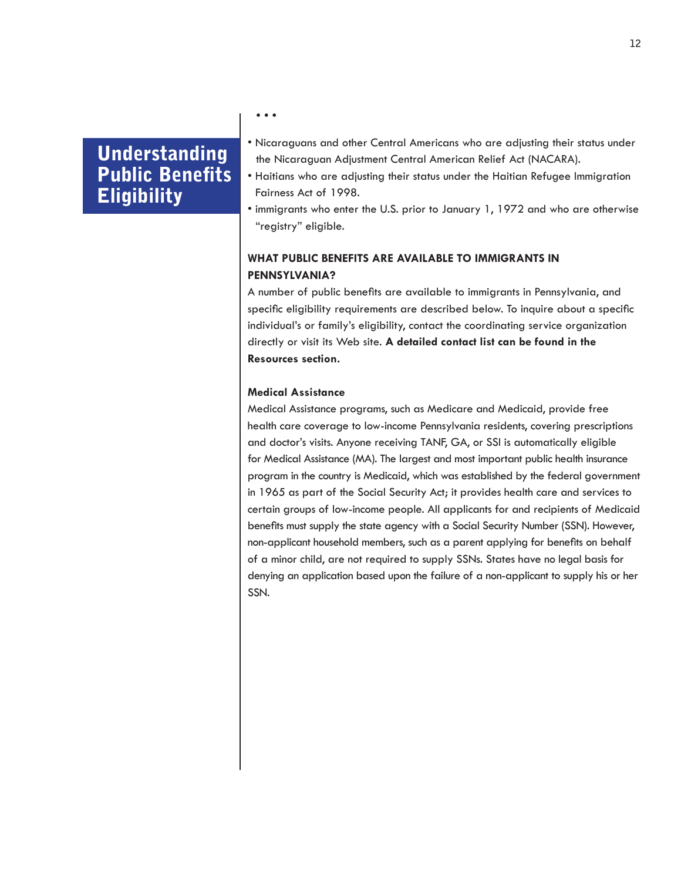- • •
- Nicaraguans and other Central Americans who are adjusting their status under the Nicaraguan Adjustment Central American Relief Act (NACARA).
- Haitians who are adjusting their status under the Haitian Refugee Immigration Fairness Act of 1998.
- immigrants who enter the U.S. prior to January 1, 1972 and who are otherwise "registry" eligible.

### **WHAT PUBLIC BENEFITS ARE AVAILABLE TO IMMIGRANTS IN PENNSYLVANIA?**

A number of public benefits are available to immigrants in Pennsylvania, and specific eligibility requirements are described below. To inquire about a specific individual's or family's eligibility, contact the coordinating service organization directly or visit its Web site. **A detailed contact list can be found in the Resources section.** 

### **Medical Assistance**

Medical Assistance programs, such as Medicare and Medicaid, provide free health care coverage to low-income Pennsylvania residents, covering prescriptions and doctor's visits. Anyone receiving TANF, GA, or SSI is automatically eligible for Medical Assistance (MA). The largest and most important public health insurance program in the country is Medicaid, which was established by the federal government in 1965 as part of the Social Security Act; it provides health care and services to certain groups of low-income people. All applicants for and recipients of Medicaid benefits must supply the state agency with a Social Security Number (SSN). However, non-applicant household members, such as a parent applying for benefits on behalf of a minor child, are not required to supply SSNs. States have no legal basis for denying an application based upon the failure of a non-applicant to supply his or her SSN.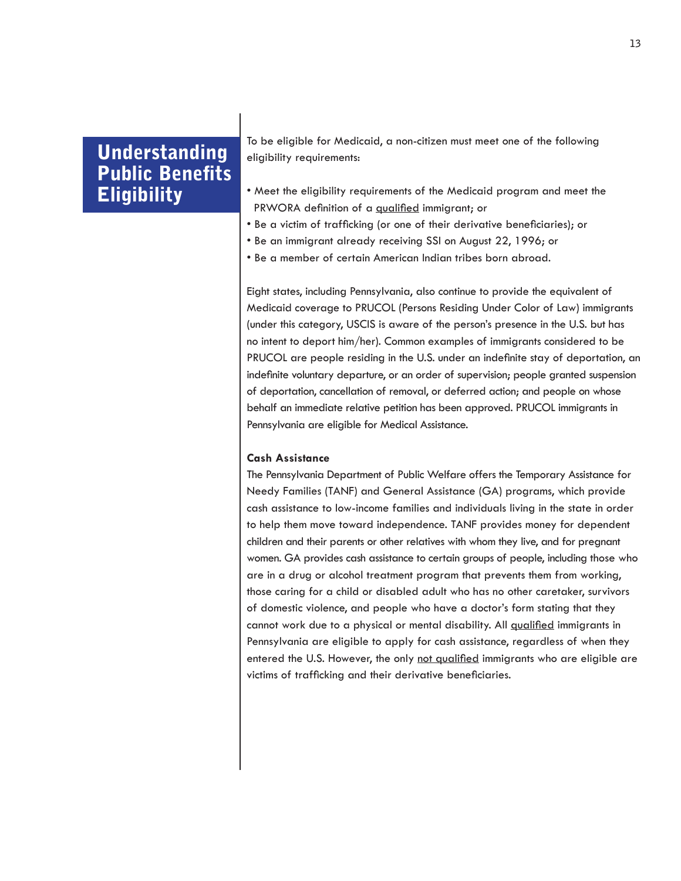To be eligible for Medicaid, a non-citizen must meet one of the following eligibility requirements:

- Meet the eligibility requirements of the Medicaid program and meet the PRWORA definition of a qualified immigrant; or
- Be a victim of trafficking (or one of their derivative beneficiaries); or
- Be an immigrant already receiving SSI on August 22, 1996; or
- Be a member of certain American Indian tribes born abroad.

Eight states, including Pennsylvania, also continue to provide the equivalent of Medicaid coverage to PRUCOL (Persons Residing Under Color of Law) immigrants (under this category, USCIS is aware of the person's presence in the U.S. but has no intent to deport him/her). Common examples of immigrants considered to be PRUCOL are people residing in the U.S. under an indefinite stay of deportation, an indefinite voluntary departure, or an order of supervision; people granted suspension of deportation, cancellation of removal, or deferred action; and people on whose behalf an immediate relative petition has been approved. PRUCOL immigrants in Pennsylvania are eligible for Medical Assistance.

#### **Cash Assistance**

The Pennsylvania Department of Public Welfare offers the Temporary Assistance for Needy Families (TANF) and General Assistance (GA) programs, which provide cash assistance to low-income families and individuals living in the state in order to help them move toward independence. TANF provides money for dependent children and their parents or other relatives with whom they live, and for pregnant women. GA provides cash assistance to certain groups of people, including those who are in a drug or alcohol treatment program that prevents them from working, those caring for a child or disabled adult who has no other caretaker, survivors of domestic violence, and people who have a doctor's form stating that they cannot work due to a physical or mental disability. All **qualified** immigrants in Pennsylvania are eligible to apply for cash assistance, regardless of when they entered the U.S. However, the only not qualified immigrants who are eligible are victims of trafficking and their derivative beneficiaries.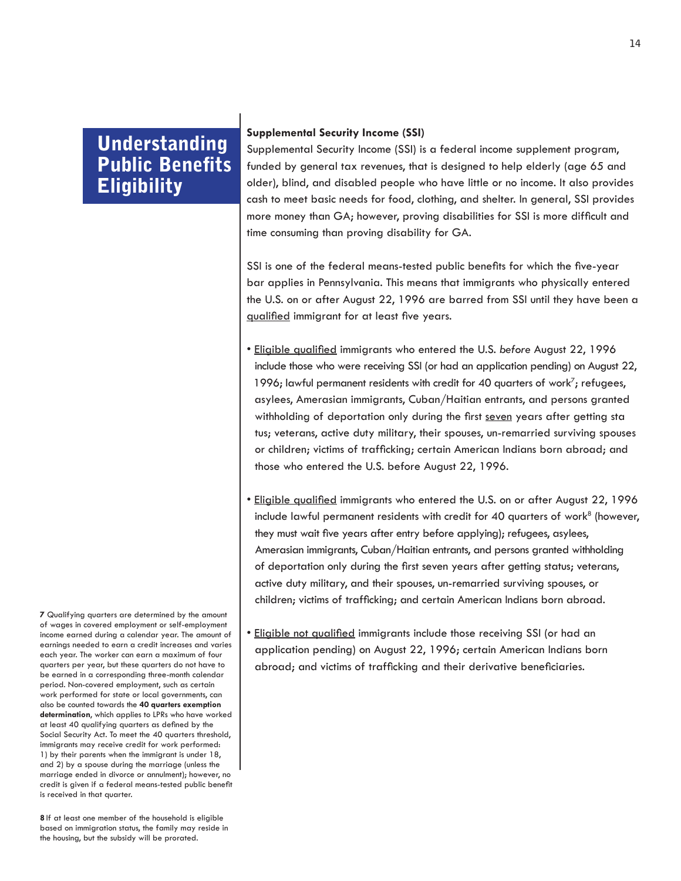**7** Qualifying quarters are determined by the amount of wages in covered employment or self-employment income earned during a calendar year. The amount of earnings needed to earn a credit increases and varies each year. The worker can earn a maximum of four quarters per year, but these quarters do not have to be earned in a corresponding three-month calendar period. Non-covered employment, such as certain work performed for state or local governments, can also be counted towards the **40 quarters exemption determination**, which applies to LPRs who have worked at least 40 qualifying quarters as defined by the Social Security Act. To meet the 40 quarters threshold, immigrants may receive credit for work performed: 1) by their parents when the immigrant is under 18, and 2) by a spouse during the marriage (unless the marriage ended in divorce or annulment); however, no credit is given if a federal means-tested public benefit is received in that quarter.

**8** If at least one member of the household is eligible based on immigration status, the family may reside in the housing, but the subsidy will be prorated.

#### **Supplemental Security Income (SSI)**

Supplemental Security Income (SSI) is a federal income supplement program, funded by general tax revenues, that is designed to help elderly (age 65 and older), blind, and disabled people who have little or no income. It also provides cash to meet basic needs for food, clothing, and shelter. In general, SSI provides more money than GA; however, proving disabilities for SSI is more difficult and time consuming than proving disability for GA.

SSI is one of the federal means-tested public benefits for which the five-year bar applies in Pennsylvania. This means that immigrants who physically entered the U.S. on or after August 22, 1996 are barred from SSI until they have been a qualified immigrant for at least five years.

- Eligible qualified immigrants who entered the U.S. *before* August 22, 1996 include those who were receiving SSI (or had an application pending) on August 22, 1996; lawful permanent residents with credit for 40 quarters of work<sup>7</sup>; refugees, asylees, Amerasian immigrants, Cuban/Haitian entrants, and persons granted withholding of deportation only during the first seven years after getting sta tus; veterans, active duty military, their spouses, un-remarried surviving spouses or children; victims of trafficking; certain American Indians born abroad; and those who entered the U.S. before August 22, 1996.
- Eligible qualified immigrants who entered the U.S. on or after August 22, 1996 include lawful permanent residents with credit for 40 quarters of work $8$  (however, they must wait five years after entry before applying); refugees, asylees, Amerasian immigrants, Cuban/Haitian entrants, and persons granted withholding of deportation only during the first seven years after getting status; veterans, active duty military, and their spouses, un-remarried surviving spouses, or children; victims of trafficking; and certain American Indians born abroad.
- Eligible not qualified immigrants include those receiving SSI (or had an application pending) on August 22, 1996; certain American Indians born abroad; and victims of trafficking and their derivative beneficiaries.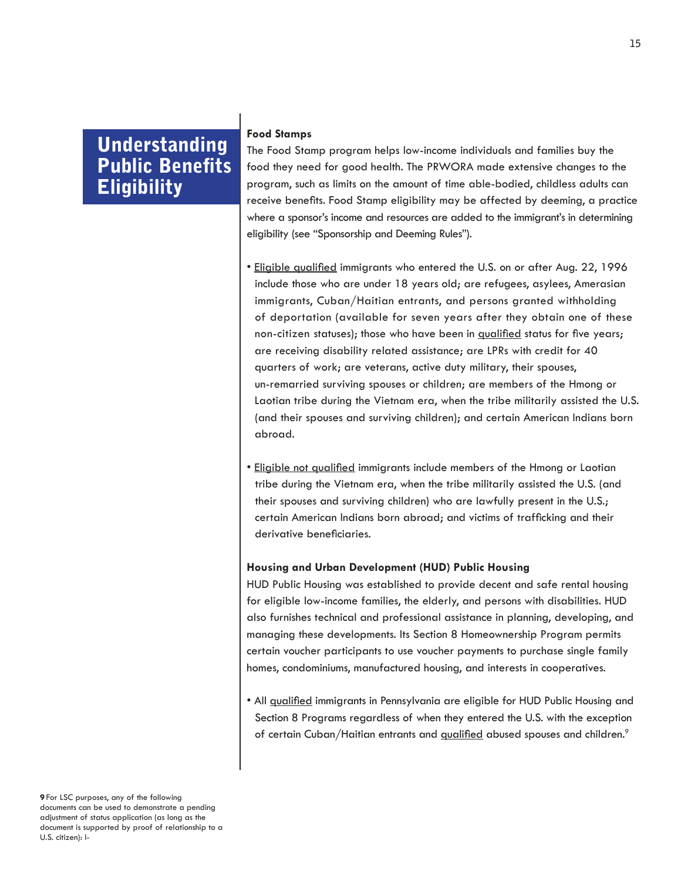#### **Food Stamps**

The Food Stamp program helps low-income individuals and families buy the food they need for good health. The PRWORA made extensive changes to the program, such as limits on the amount of time able-bodied, childless adults can receive benefits. Food Stamp eligibility may be affected by deeming, a practice where a sponsor's income and resources are added to the immigrant's in determining eligibility (see "Sponsorship and Deeming Rules").

- Eligible qualified immigrants who entered the U.S. on or after Aug. 22, 1996 include those who are under 18 years old; are refugees, asylees, Amerasian immigrants, Cuban/Haitian entrants, and persons granted withholding of deportation (available for seven years after they obtain one of these non-citizen statuses); those who have been in qualified status for five years; are receiving disability related assistance; are LPRs with credit for 40 quarters of work; are veterans, active duty military, their spouses, un-remarried surviving spouses or children; are members of the Hmong or Laotian tribe during the Vietnam era, when the tribe militarily assisted the U.S. (and their spouses and surviving children); and certain American Indians born abroad.
- Eligible not qualified immigrants include members of the Hmong or Laotian tribe during the Vietnam era, when the tribe militarily assisted the U.S. (and their spouses and surviving children) who are lawfully present in the U.S.; certain American Indians born abroad; and victims of trafficking and their derivative beneficiaries.

### **Housing and Urban Development (HUD) Public Housing**

HUD Public Housing was established to provide decent and safe rental housing for eligible low-income families, the elderly, and persons with disabilities. HUD also furnishes technical and professional assistance in planning, developing, and managing these developments. Its Section 8 Homeownership Program permits certain voucher participants to use voucher payments to purchase single family homes, condominiums, manufactured housing, and interests in cooperatives.

• All qualified immigrants in Pennsylvania are eligible for HUD Public Housing and Section 8 Programs regardless of when they entered the U.S. with the exception of certain Cuban/Haitian entrants and qualified abused spouses and children.<sup>9</sup>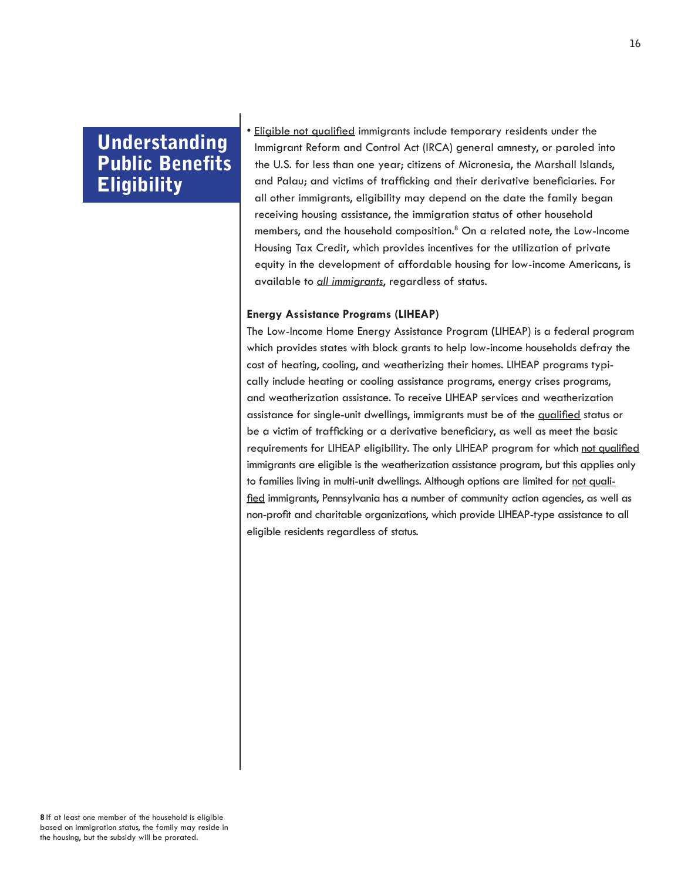• Eligible not qualified immigrants include temporary residents under the Immigrant Reform and Control Act (IRCA) general amnesty, or paroled into the U.S. for less than one year; citizens of Micronesia, the Marshall Islands, and Palau; and victims of trafficking and their derivative beneficiaries. For all other immigrants, eligibility may depend on the date the family began receiving housing assistance, the immigration status of other household members, and the household composition.<sup>8</sup> On a related note, the Low-Income Housing Tax Credit, which provides incentives for the utilization of private equity in the development of affordable housing for low-income Americans, is available to *all immigrants*, regardless of status.

#### **Energy Assistance Programs (LIHEAP)**

The Low-Income Home Energy Assistance Program **(**LIHEAP) is a federal program which provides states with block grants to help low-income households defray the cost of heating, cooling, and weatherizing their homes. LIHEAP programs typically include heating or cooling assistance programs, energy crises programs, and weatherization assistance. To receive LIHEAP services and weatherization assistance for single-unit dwellings, immigrants must be of the qualified status or be a victim of trafficking or a derivative beneficiary, as well as meet the basic requirements for LIHEAP eligibility. The only LIHEAP program for which not qualified immigrants are eligible is the weatherization assistance program, but this applies only to families living in multi-unit dwellings. Although options are limited for not qualified immigrants, Pennsylvania has a number of community action agencies, as well as non-profit and charitable organizations, which provide LIHEAP-type assistance to all eligible residents regardless of status.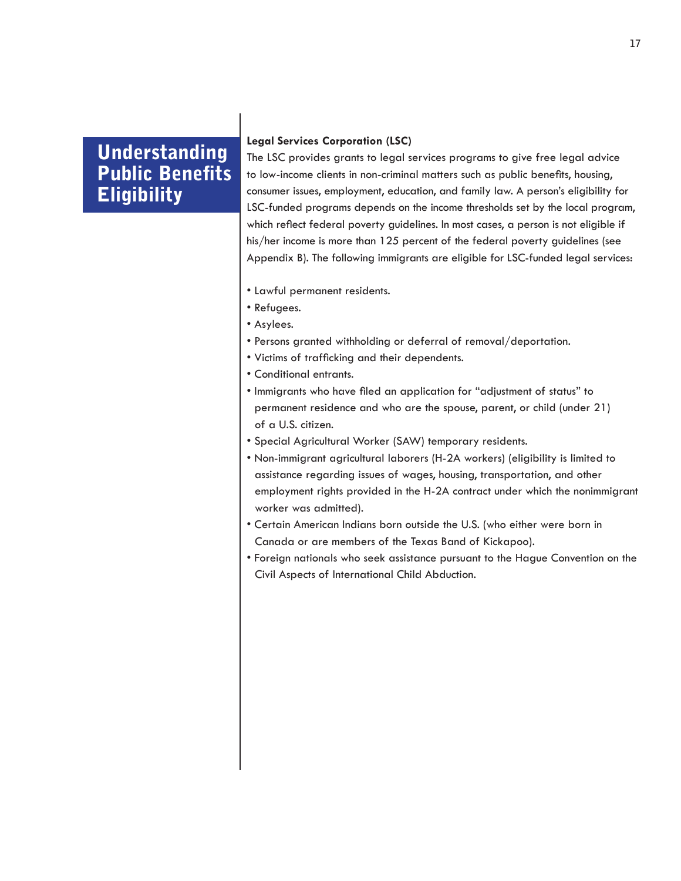### **Legal Services Corporation (LSC)**

The LSC provides grants to legal services programs to give free legal advice to low-income clients in non-criminal matters such as public benefits, housing, consumer issues, employment, education, and family law. A person's eligibility for LSC-funded programs depends on the income thresholds set by the local program, which reflect federal poverty guidelines. In most cases, a person is not eligible if his/her income is more than 125 percent of the federal poverty guidelines (see Appendix B). The following immigrants are eligible for LSC-funded legal services:

- Lawful permanent residents.
- Refugees.
- Asylees.
- Persons granted withholding or deferral of removal/deportation.
- Victims of trafficking and their dependents.
- Conditional entrants.
- Immigrants who have filed an application for "adjustment of status" to permanent residence and who are the spouse, parent, or child (under 21) of a U.S. citizen.
- Special Agricultural Worker (SAW) temporary residents.
- Non-immigrant agricultural laborers (H-2A workers) (eligibility is limited to assistance regarding issues of wages, housing, transportation, and other employment rights provided in the H-2A contract under which the nonimmigrant worker was admitted).
- Certain American Indians born outside the U.S. (who either were born in Canada or are members of the Texas Band of Kickapoo).
- Foreign nationals who seek assistance pursuant to the Hague Convention on the Civil Aspects of International Child Abduction.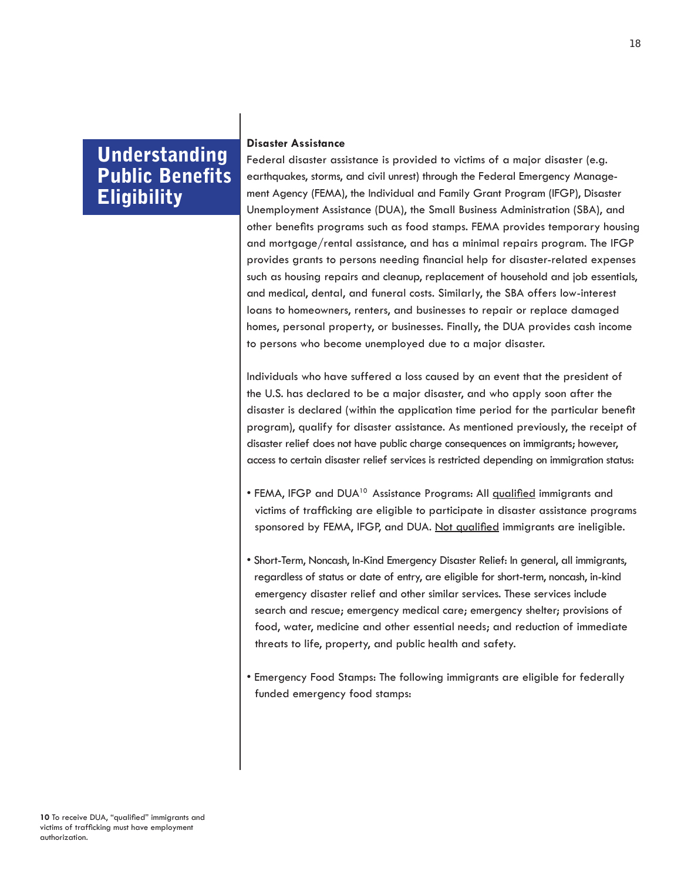### **Disaster Assistance**

Federal disaster assistance is provided to victims of a major disaster (e.g. earthquakes, storms, and civil unrest) through the Federal Emergency Management Agency (FEMA), the Individual and Family Grant Program (IFGP), Disaster Unemployment Assistance (DUA), the Small Business Administration (SBA), and other benefits programs such as food stamps. FEMA provides temporary housing and mortgage/rental assistance, and has a minimal repairs program. The IFGP provides grants to persons needing financial help for disaster-related expenses such as housing repairs and cleanup, replacement of household and job essentials, and medical, dental, and funeral costs. Similarly, the SBA offers low-interest loans to homeowners, renters, and businesses to repair or replace damaged homes, personal property, or businesses. Finally, the DUA provides cash income to persons who become unemployed due to a major disaster.

Individuals who have suffered a loss caused by an event that the president of the U.S. has declared to be a major disaster, and who apply soon after the disaster is declared (within the application time period for the particular benefit program), qualify for disaster assistance. As mentioned previously, the receipt of disaster relief does not have public charge consequences on immigrants; however, access to certain disaster relief services is restricted depending on immigration status:

- FEMA, IFGP and DUA<sup>10</sup> Assistance Programs: All qualified immigrants and victims of trafficking are eligible to participate in disaster assistance programs sponsored by FEMA, IFGP, and DUA. Not qualified immigrants are ineligible.
- Short-Term, Noncash, In-Kind Emergency Disaster Relief: In general, all immigrants, regardless of status or date of entry, are eligible for short-term, noncash, in-kind emergency disaster relief and other similar services. These services include search and rescue; emergency medical care; emergency shelter; provisions of food, water, medicine and other essential needs; and reduction of immediate threats to life, property, and public health and safety.
- Emergency Food Stamps: The following immigrants are eligible for federally funded emergency food stamps: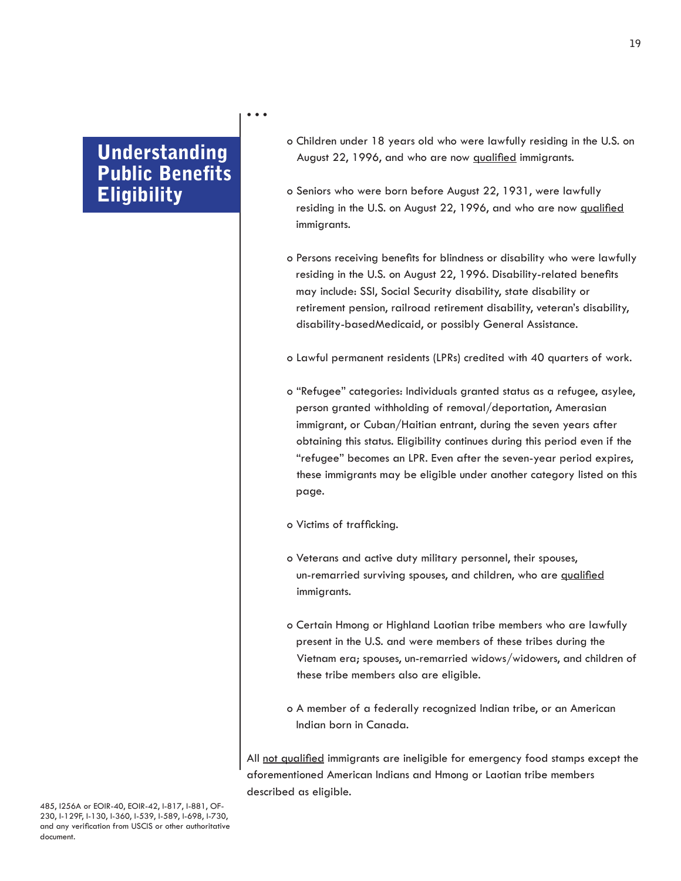• • •

- o Children under 18 years old who were lawfully residing in the U.S. on August 22, 1996, and who are now qualified immigrants.
- o Seniors who were born before August 22, 1931, were lawfully residing in the U.S. on August 22, 1996, and who are now qualified immigrants.
- o Persons receiving benefits for blindness or disability who were lawfully residing in the U.S. on August 22, 1996. Disability-related benefits may include: SSI, Social Security disability, state disability or retirement pension, railroad retirement disability, veteran's disability, disability-basedMedicaid, or possibly General Assistance.
- o Lawful permanent residents (LPRs) credited with 40 quarters of work.
- o "Refugee" categories: Individuals granted status as a refugee, asylee, person granted withholding of removal/deportation, Amerasian immigrant, or Cuban/Haitian entrant, during the seven years after obtaining this status. Eligibility continues during this period even if the "refugee" becomes an LPR. Even after the seven-year period expires, these immigrants may be eligible under another category listed on this page.
- o Victims of trafficking.
- o Veterans and active duty military personnel, their spouses, un-remarried surviving spouses, and children, who are qualified immigrants.
- o Certain Hmong or Highland Laotian tribe members who are lawfully present in the U.S. and were members of these tribes during the Vietnam era; spouses, un-remarried widows/widowers, and children of these tribe members also are eligible.
- o A member of a federally recognized Indian tribe, or an American Indian born in Canada.

All not qualified immigrants are ineligible for emergency food stamps except the aforementioned American Indians and Hmong or Laotian tribe members described as eligible.

485, I256A or EOIR-40, EOIR-42, I-817, I-881, OF-230, I-129F, I-130, I-360, I-539, I-589, I-698, I-730, and any verification from USCIS or other authoritative document.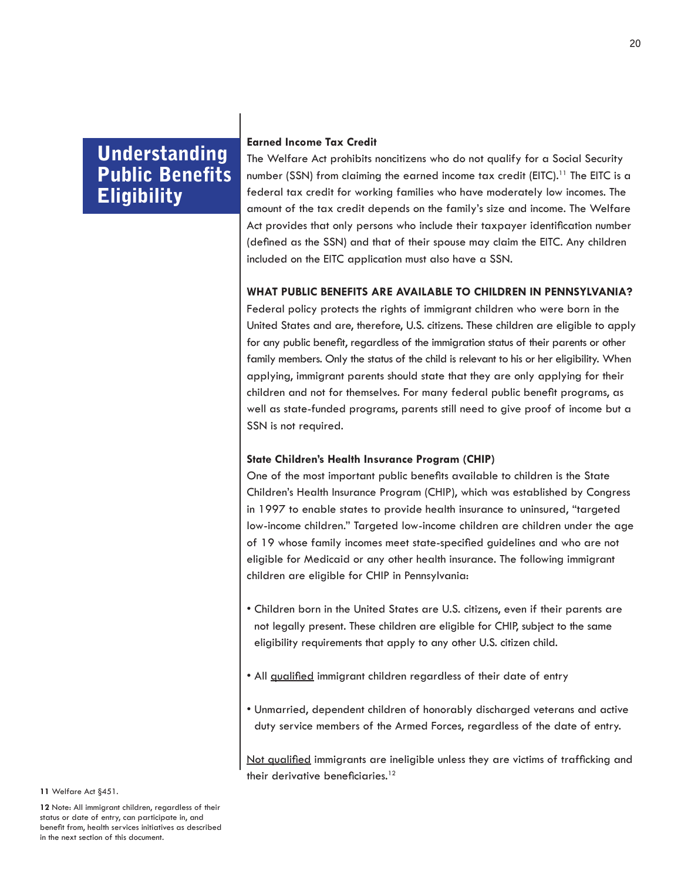### **Earned Income Tax Credit**

The Welfare Act prohibits noncitizens who do not qualify for a Social Security number (SSN) from claiming the earned income tax credit (EITC).<sup>11</sup> The EITC is a federal tax credit for working families who have moderately low incomes. The amount of the tax credit depends on the family's size and income. The Welfare Act provides that only persons who include their taxpayer identification number (defined as the SSN) and that of their spouse may claim the EITC. Any children included on the EITC application must also have a SSN.

### **WHAT PUBLIC BENEFITS ARE AVAILABLE TO CHILDREN IN PENNSYLVANIA?**

Federal policy protects the rights of immigrant children who were born in the United States and are, therefore, U.S. citizens. These children are eligible to apply for any public benefit, regardless of the immigration status of their parents or other family members. Only the status of the child is relevant to his or her eligibility. When applying, immigrant parents should state that they are only applying for their children and not for themselves. For many federal public benefit programs, as well as state-funded programs, parents still need to give proof of income but a SSN is not required.

### **State Children's Health Insurance Program (CHIP)**

One of the most important public benefits available to children is the State Children's Health Insurance Program (CHIP), which was established by Congress in 1997 to enable states to provide health insurance to uninsured, "targeted low-income children." Targeted low-income children are children under the age of 19 whose family incomes meet state-specified guidelines and who are not eligible for Medicaid or any other health insurance. The following immigrant children are eligible for CHIP in Pennsylvania:

- Children born in the United States are U.S. citizens, even if their parents are not legally present. These children are eligible for CHIP, subject to the same eligibility requirements that apply to any other U.S. citizen child.
- All qualified immigrant children regardless of their date of entry
- Unmarried, dependent children of honorably discharged veterans and active duty service members of the Armed Forces, regardless of the date of entry.

Not qualified immigrants are ineligible unless they are victims of trafficking and their derivative beneficiaries.<sup>12</sup>

#### **11** Welfare Act §451.

**12** Note: All immigrant children, regardless of their status or date of entry, can participate in, and benefit from, health services initiatives as described in the next section of this document.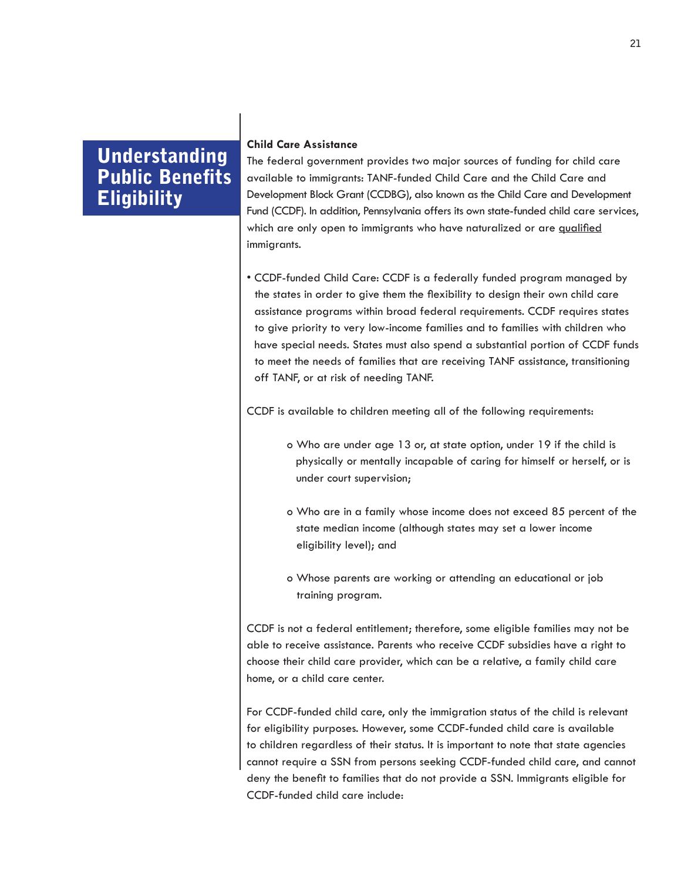#### **Child Care Assistance**

The federal government provides two major sources of funding for child care available to immigrants: TANF-funded Child Care and the Child Care and Development Block Grant (CCDBG), also known as the Child Care and Development Fund (CCDF). In addition, Pennsylvania offers its own state-funded child care services, which are only open to immigrants who have naturalized or are qualified immigrants.

• CCDF-funded Child Care: CCDF is a federally funded program managed by the states in order to give them the flexibility to design their own child care assistance programs within broad federal requirements. CCDF requires states to give priority to very low-income families and to families with children who have special needs. States must also spend a substantial portion of CCDF funds to meet the needs of families that are receiving TANF assistance, transitioning off TANF, or at risk of needing TANF.

CCDF is available to children meeting all of the following requirements:

- o Who are under age 13 or, at state option, under 19 if the child is physically or mentally incapable of caring for himself or herself, or is under court supervision;
- o Who are in a family whose income does not exceed 85 percent of the state median income (although states may set a lower income eligibility level); and
- o Whose parents are working or attending an educational or job training program.

CCDF is not a federal entitlement; therefore, some eligible families may not be able to receive assistance. Parents who receive CCDF subsidies have a right to choose their child care provider, which can be a relative, a family child care home, or a child care center.

For CCDF-funded child care, only the immigration status of the child is relevant for eligibility purposes. However, some CCDF-funded child care is available to children regardless of their status. It is important to note that state agencies cannot require a SSN from persons seeking CCDF-funded child care, and cannot deny the benefit to families that do not provide a SSN. Immigrants eligible for CCDF-funded child care include: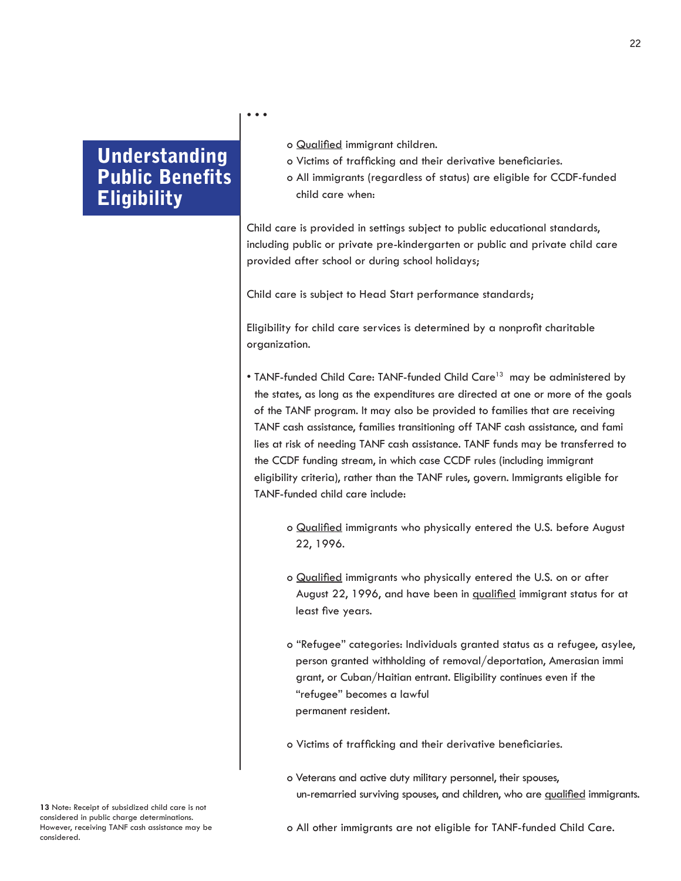- • •
- o Qualified immigrant children.
- o Victims of trafficking and their derivative beneficiaries.
- o All immigrants (regardless of status) are eligible for CCDF-funded child care when:

Child care is provided in settings subject to public educational standards, including public or private pre-kindergarten or public and private child care provided after school or during school holidays;

Child care is subject to Head Start performance standards;

Eligibility for child care services is determined by a nonprofit charitable organization.

- TANF-funded Child Care: TANF-funded Child Care<sup>13</sup> may be administered by the states, as long as the expenditures are directed at one or more of the goals of the TANF program. It may also be provided to families that are receiving TANF cash assistance, families transitioning off TANF cash assistance, and fami lies at risk of needing TANF cash assistance. TANF funds may be transferred to the CCDF funding stream, in which case CCDF rules (including immigrant eligibility criteria), rather than the TANF rules, govern. Immigrants eligible for TANF-funded child care include:
	- o Qualified immigrants who physically entered the U.S. before August 22, 1996.
	- o Qualified immigrants who physically entered the U.S. on or after August 22, 1996, and have been in qualified immigrant status for at least five years.
	- o "Refugee" categories: Individuals granted status as a refugee, asylee, person granted withholding of removal/deportation, Amerasian immi grant, or Cuban/Haitian entrant. Eligibility continues even if the "refugee" becomes a lawful permanent resident.
	- o Victims of trafficking and their derivative beneficiaries.
	- o Veterans and active duty military personnel, their spouses, un-remarried surviving spouses, and children, who are qualified immigrants.

**13** Note: Receipt of subsidized child care is not considered in public charge determinations. However, receiving TANF cash assistance may be considered.

o All other immigrants are not eligible for TANF-funded Child Care.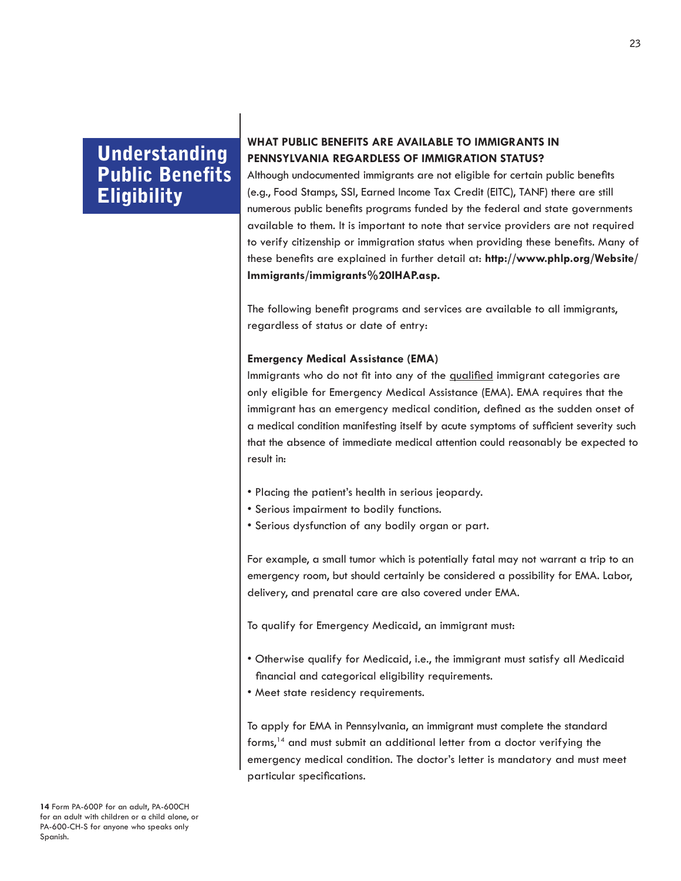### **WHAT PUBLIC BENEFITS ARE AVAILABLE TO IMMIGRANTS IN PENNSYLVANIA REGARDLESS OF IMMIGRATION STATUS?**

Although undocumented immigrants are not eligible for certain public benefits (e.g., Food Stamps, SSI, Earned Income Tax Credit (EITC), TANF) there are still numerous public benefits programs funded by the federal and state governments available to them. It is important to note that service providers are not required to verify citizenship or immigration status when providing these benefits. Many of these benefits are explained in further detail at: **http://www.phlp.org/Website/ Immigrants/immigrants%20IHAP.asp.**

The following benefit programs and services are available to all immigrants, regardless of status or date of entry:

#### **Emergency Medical Assistance (EMA)**

Immigrants who do not fit into any of the qualified immigrant categories are only eligible for Emergency Medical Assistance (EMA). EMA requires that the immigrant has an emergency medical condition, defined as the sudden onset of a medical condition manifesting itself by acute symptoms of sufficient severity such that the absence of immediate medical attention could reasonably be expected to result in:

- Placing the patient's health in serious jeopardy.
- Serious impairment to bodily functions.
- Serious dysfunction of any bodily organ or part.

For example, a small tumor which is potentially fatal may not warrant a trip to an emergency room, but should certainly be considered a possibility for EMA. Labor, delivery, and prenatal care are also covered under EMA.

To qualify for Emergency Medicaid, an immigrant must:

- Otherwise qualify for Medicaid, i.e., the immigrant must satisfy all Medicaid financial and categorical eligibility requirements.
- Meet state residency requirements.

To apply for EMA in Pennsylvania, an immigrant must complete the standard forms,14 and must submit an additional letter from a doctor verifying the emergency medical condition. The doctor's letter is mandatory and must meet particular specifications.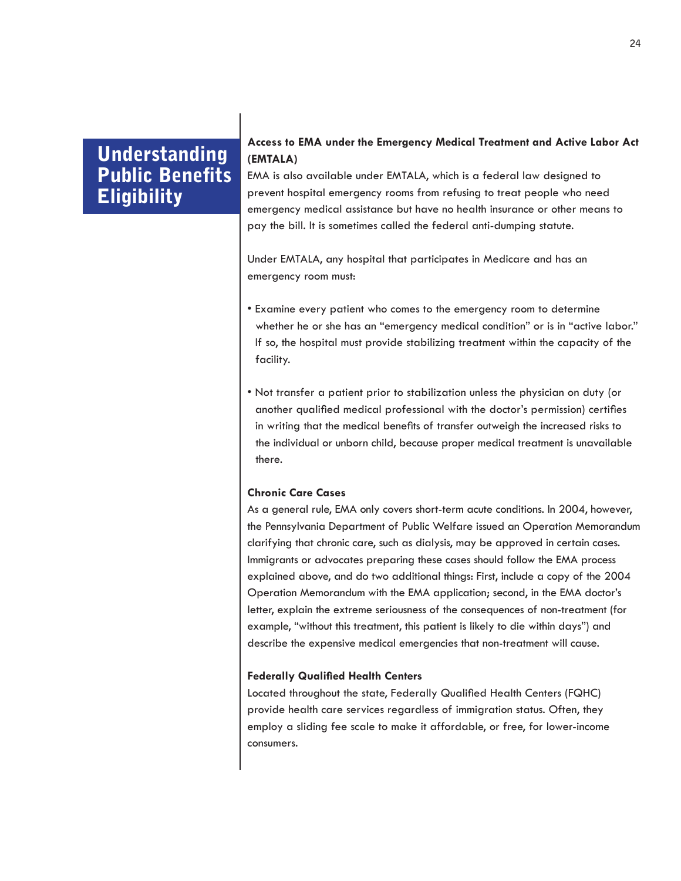### **Access to EMA under the Emergency Medical Treatment and Active Labor Act (EMTALA)**

EMA is also available under EMTALA, which is a federal law designed to prevent hospital emergency rooms from refusing to treat people who need emergency medical assistance but have no health insurance or other means to pay the bill. It is sometimes called the federal anti-dumping statute.

Under EMTALA, any hospital that participates in Medicare and has an emergency room must:

- Examine every patient who comes to the emergency room to determine whether he or she has an "emergency medical condition" or is in "active labor." If so, the hospital must provide stabilizing treatment within the capacity of the facility.
- Not transfer a patient prior to stabilization unless the physician on duty (or another qualified medical professional with the doctor's permission) certifies in writing that the medical benefits of transfer outweigh the increased risks to the individual or unborn child, because proper medical treatment is unavailable there.

#### **Chronic Care Cases**

As a general rule, EMA only covers short-term acute conditions. In 2004, however, the Pennsylvania Department of Public Welfare issued an Operation Memorandum clarifying that chronic care, such as dialysis, may be approved in certain cases. Immigrants or advocates preparing these cases should follow the EMA process explained above, and do two additional things: First, include a copy of the 2004 Operation Memorandum with the EMA application; second, in the EMA doctor's letter, explain the extreme seriousness of the consequences of non-treatment (for example, "without this treatment, this patient is likely to die within days") and describe the expensive medical emergencies that non-treatment will cause.

#### **Federally Qualified Health Centers**

Located throughout the state, Federally Qualified Health Centers (FQHC) provide health care services regardless of immigration status. Often, they employ a sliding fee scale to make it affordable, or free, for lower-income consumers.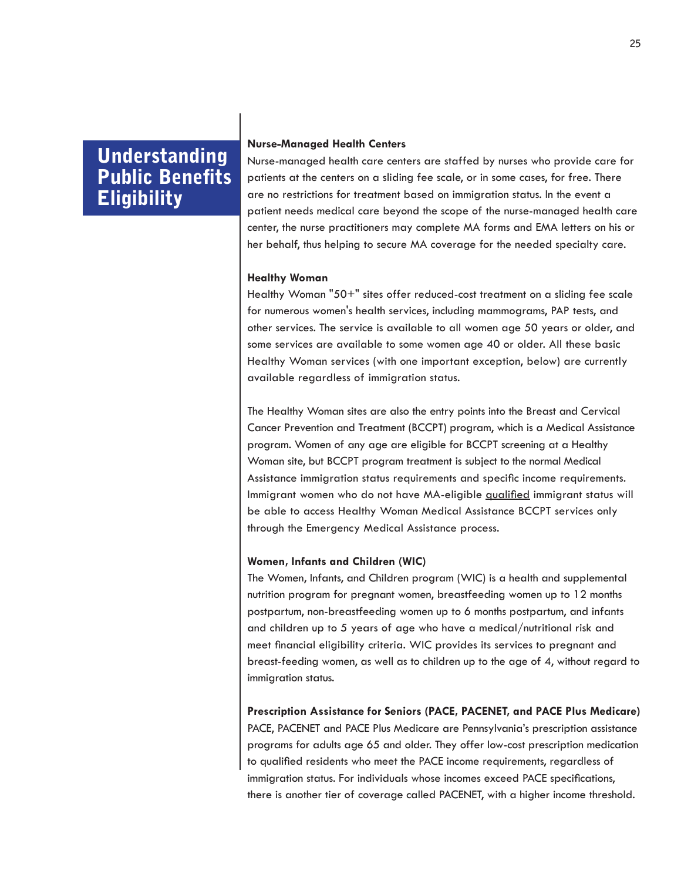#### **Nurse-Managed Health Centers**

Nurse-managed health care centers are staffed by nurses who provide care for patients at the centers on a sliding fee scale, or in some cases, for free. There are no restrictions for treatment based on immigration status. In the event a patient needs medical care beyond the scope of the nurse-managed health care center, the nurse practitioners may complete MA forms and EMA letters on his or her behalf, thus helping to secure MA coverage for the needed specialty care.

#### **Healthy Woman**

Healthy Woman "50+" sites offer reduced-cost treatment on a sliding fee scale for numerous women's health services, including mammograms, PAP tests, and other services. The service is available to all women age 50 years or older, and some services are available to some women age 40 or older. All these basic Healthy Woman services (with one important exception, below) are currently available regardless of immigration status.

The Healthy Woman sites are also the entry points into the Breast and Cervical Cancer Prevention and Treatment (BCCPT) program, which is a Medical Assistance program. Women of any age are eligible for BCCPT screening at a Healthy Woman site, but BCCPT program treatment is subject to the normal Medical Assistance immigration status requirements and specific income requirements. Immigrant women who do not have MA-eligible qualified immigrant status will be able to access Healthy Woman Medical Assistance BCCPT services only through the Emergency Medical Assistance process.

#### **Women, Infants and Children (WIC)**

The Women, Infants, and Children program (WIC) is a health and supplemental nutrition program for pregnant women, breastfeeding women up to 12 months postpartum, non-breastfeeding women up to 6 months postpartum, and infants and children up to 5 years of age who have a medical/nutritional risk and meet financial eligibility criteria. WIC provides its services to pregnant and breast-feeding women, as well as to children up to the age of 4, without regard to immigration status.

### **Prescription Assistance for Seniors (PACE, PACENET, and PACE Plus Medicare)**

PACE, PACENET and PACE Plus Medicare are Pennsylvania's prescription assistance programs for adults age 65 and older. They offer low-cost prescription medication to qualified residents who meet the PACE income requirements, regardless of immigration status. For individuals whose incomes exceed PACE specifications, there is another tier of coverage called PACENET, with a higher income threshold.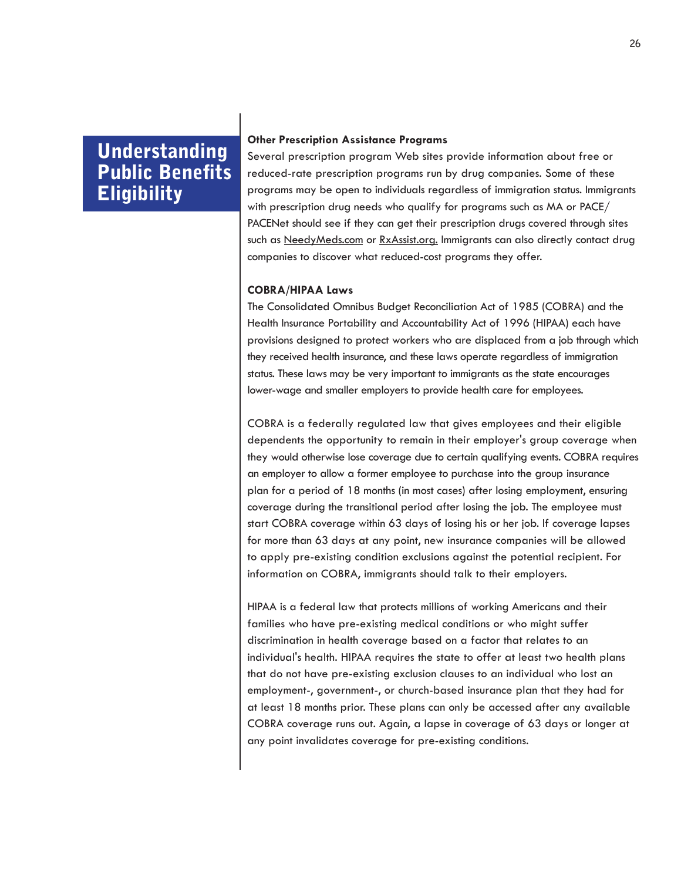#### **Other Prescription Assistance Programs**

Several prescription program Web sites provide information about free or reduced-rate prescription programs run by drug companies. Some of these programs may be open to individuals regardless of immigration status. Immigrants with prescription drug needs who qualify for programs such as MA or PACE/ PACENet should see if they can get their prescription drugs covered through sites such as NeedyMeds.com or RxAssist.org. Immigrants can also directly contact drug companies to discover what reduced-cost programs they offer.

#### **COBRA/HIPAA Laws**

The Consolidated Omnibus Budget Reconciliation Act of 1985 (COBRA) and the Health Insurance Portability and Accountability Act of 1996 (HIPAA) each have provisions designed to protect workers who are displaced from a job through which they received health insurance, and these laws operate regardless of immigration status. These laws may be very important to immigrants as the state encourages lower-wage and smaller employers to provide health care for employees.

COBRA is a federally regulated law that gives employees and their eligible dependents the opportunity to remain in their employer's group coverage when they would otherwise lose coverage due to certain qualifying events. COBRA requires an employer to allow a former employee to purchase into the group insurance plan for a period of 18 months (in most cases) after losing employment, ensuring coverage during the transitional period after losing the job. The employee must start COBRA coverage within 63 days of losing his or her job. If coverage lapses for more than 63 days at any point, new insurance companies will be allowed to apply pre-existing condition exclusions against the potential recipient. For information on COBRA, immigrants should talk to their employers.

HIPAA is a federal law that protects millions of working Americans and their families who have pre-existing medical conditions or who might suffer discrimination in health coverage based on a factor that relates to an individual's health. HIPAA requires the state to offer at least two health plans that do not have pre-existing exclusion clauses to an individual who lost an employment-, government-, or church-based insurance plan that they had for at least 18 months prior. These plans can only be accessed after any available COBRA coverage runs out. Again, a lapse in coverage of 63 days or longer at any point invalidates coverage for pre-existing conditions.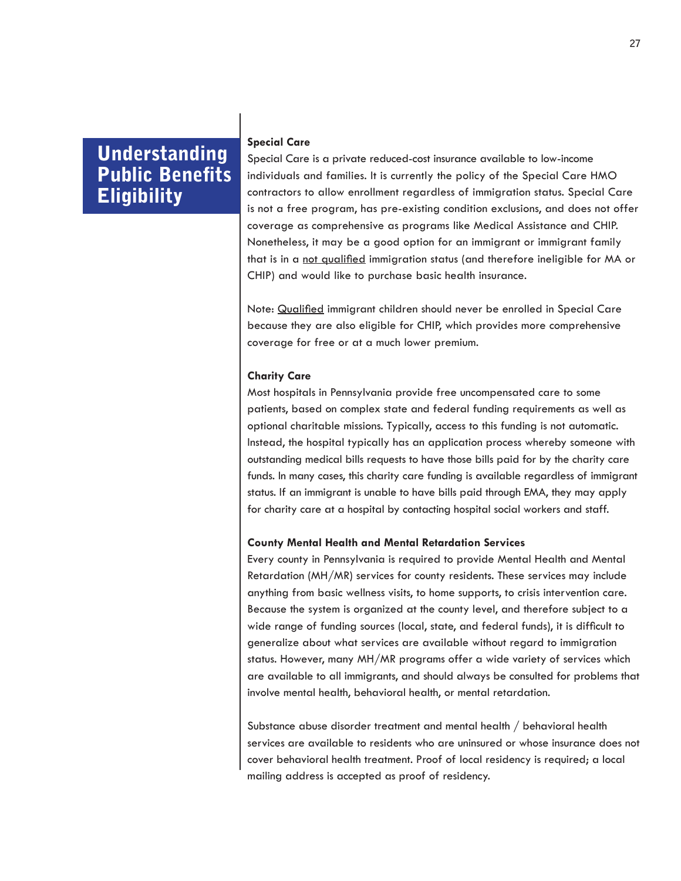#### **Special Care**

Special Care is a private reduced-cost insurance available to low-income individuals and families. It is currently the policy of the Special Care HMO contractors to allow enrollment regardless of immigration status. Special Care is not a free program, has pre-existing condition exclusions, and does not offer coverage as comprehensive as programs like Medical Assistance and CHIP. Nonetheless, it may be a good option for an immigrant or immigrant family that is in a not qualified immigration status (and therefore ineligible for MA or CHIP) and would like to purchase basic health insurance.

Note: Qualified immigrant children should never be enrolled in Special Care because they are also eligible for CHIP, which provides more comprehensive coverage for free or at a much lower premium.

#### **Charity Care**

Most hospitals in Pennsylvania provide free uncompensated care to some patients, based on complex state and federal funding requirements as well as optional charitable missions. Typically, access to this funding is not automatic. Instead, the hospital typically has an application process whereby someone with outstanding medical bills requests to have those bills paid for by the charity care funds. In many cases, this charity care funding is available regardless of immigrant status. If an immigrant is unable to have bills paid through EMA, they may apply for charity care at a hospital by contacting hospital social workers and staff.

#### **County Mental Health and Mental Retardation Services**

Every county in Pennsylvania is required to provide Mental Health and Mental Retardation (MH/MR) services for county residents. These services may include anything from basic wellness visits, to home supports, to crisis intervention care. Because the system is organized at the county level, and therefore subject to a wide range of funding sources (local, state, and federal funds), it is difficult to generalize about what services are available without regard to immigration status. However, many MH/MR programs offer a wide variety of services which are available to all immigrants, and should always be consulted for problems that involve mental health, behavioral health, or mental retardation.

Substance abuse disorder treatment and mental health / behavioral health services are available to residents who are uninsured or whose insurance does not cover behavioral health treatment. Proof of local residency is required; a local mailing address is accepted as proof of residency.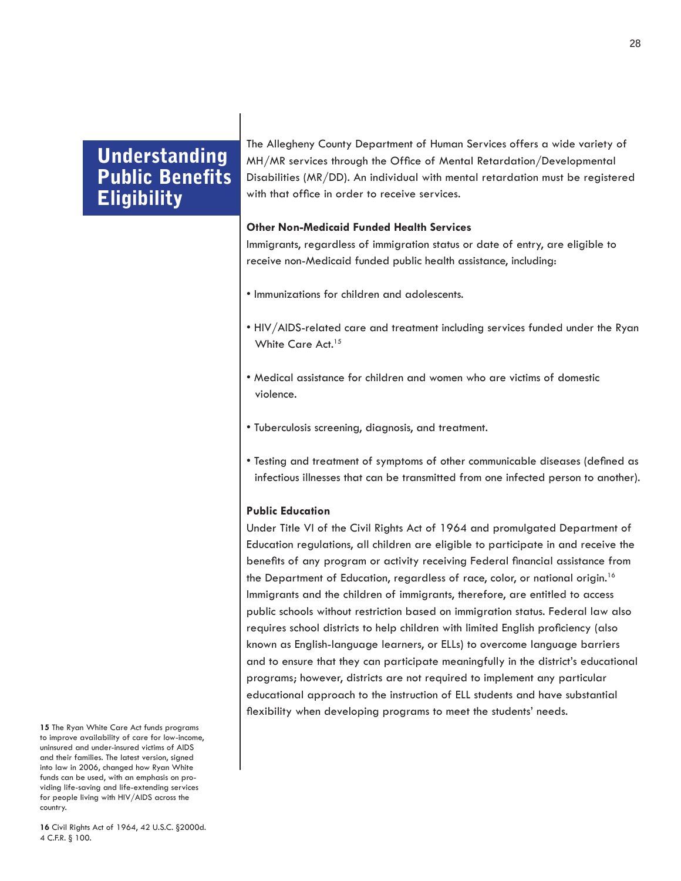The Allegheny County Department of Human Services offers a wide variety of MH/MR services through the Office of Mental Retardation/Developmental Disabilities (MR/DD). An individual with mental retardation must be registered with that office in order to receive services.

#### **Other Non-Medicaid Funded Health Services**

Immigrants, regardless of immigration status or date of entry, are eligible to receive non-Medicaid funded public health assistance, including:

- Immunizations for children and adolescents.
- HIV/AIDS-related care and treatment including services funded under the Ryan White Care Act.<sup>15</sup>
- Medical assistance for children and women who are victims of domestic violence.
- Tuberculosis screening, diagnosis, and treatment.
- Testing and treatment of symptoms of other communicable diseases (defined as infectious illnesses that can be transmitted from one infected person to another).

#### **Public Education**

Under Title VI of the Civil Rights Act of 1964 and promulgated Department of Education regulations, all children are eligible to participate in and receive the benefits of any program or activity receiving Federal financial assistance from the Department of Education, regardless of race, color, or national origin.16 Immigrants and the children of immigrants, therefore, are entitled to access public schools without restriction based on immigration status. Federal law also requires school districts to help children with limited English proficiency (also known as English-language learners, or ELLs) to overcome language barriers and to ensure that they can participate meaningfully in the district's educational programs; however, districts are not required to implement any particular educational approach to the instruction of ELL students and have substantial flexibility when developing programs to meet the students' needs.

**<sup>15</sup>** The Ryan White Care Act funds programs to improve availability of care for low-income, uninsured and under-insured victims of AIDS and their families. The latest version, signed into law in 2006, changed how Ryan White funds can be used, with an emphasis on providing life-saving and life-extending services for people living with HIV/AIDS across the country.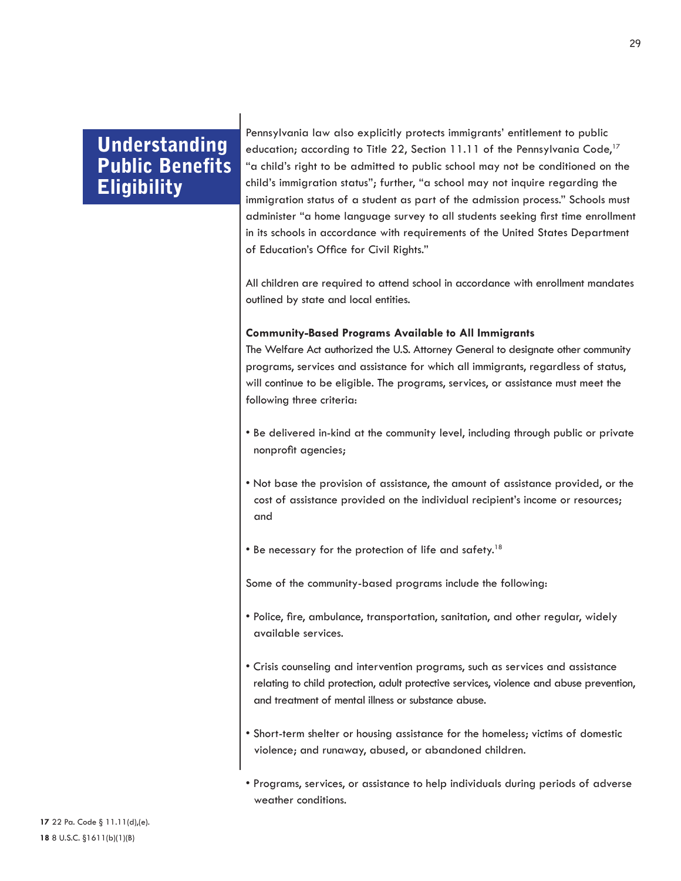Pennsylvania law also explicitly protects immigrants' entitlement to public education; according to Title 22, Section 11.11 of the Pennsylvania Code,<sup>17</sup> "a child's right to be admitted to public school may not be conditioned on the child's immigration status"; further, "a school may not inquire regarding the immigration status of a student as part of the admission process." Schools must administer "a home language survey to all students seeking first time enrollment in its schools in accordance with requirements of the United States Department of Education's Office for Civil Rights."

All children are required to attend school in accordance with enrollment mandates outlined by state and local entities.

### **Community-Based Programs Available to All Immigrants**

The Welfare Act authorized the U.S. Attorney General to designate other community programs, services and assistance for which all immigrants, regardless of status, will continue to be eligible. The programs, services, or assistance must meet the following three criteria:

- Be delivered in-kind at the community level, including through public or private nonprofit agencies;
- Not base the provision of assistance, the amount of assistance provided, or the cost of assistance provided on the individual recipient's income or resources; and
- Be necessary for the protection of life and safety.<sup>18</sup>

Some of the community-based programs include the following:

- Police, fire, ambulance, transportation, sanitation, and other regular, widely available services.
- Crisis counseling and intervention programs, such as services and assistance relating to child protection, adult protective services, violence and abuse prevention, and treatment of mental illness or substance abuse.
- Short-term shelter or housing assistance for the homeless; victims of domestic violence; and runaway, abused, or abandoned children.
- Programs, services, or assistance to help individuals during periods of adverse weather conditions.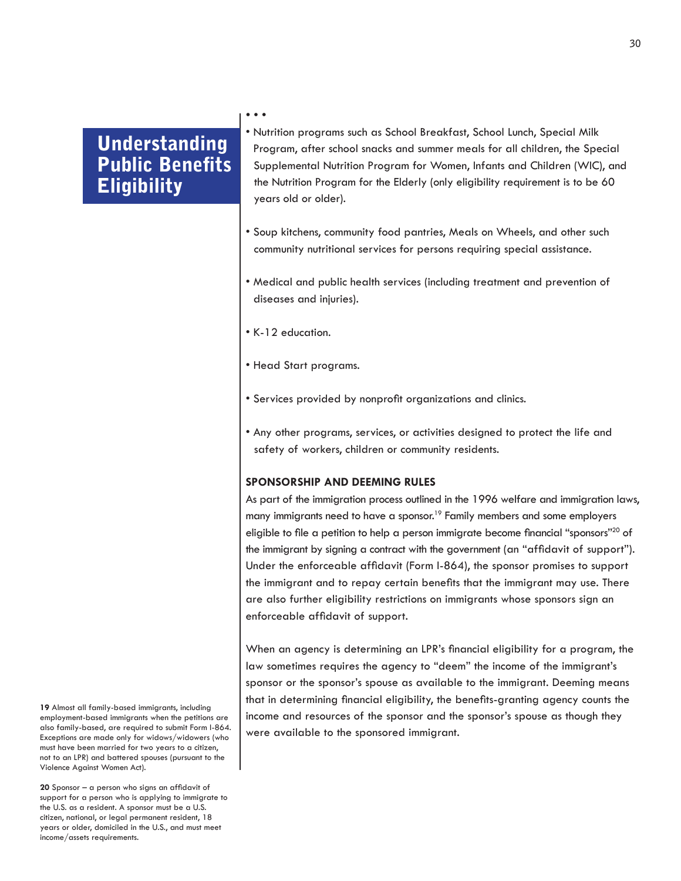• • • • Nutrition programs such as School Breakfast, School Lunch, Special Milk Program, after school snacks and summer meals for all children, the Special Supplemental Nutrition Program for Women, Infants and Children (WIC), and the Nutrition Program for the Elderly (only eligibility requirement is to be 60 years old or older).

- Soup kitchens, community food pantries, Meals on Wheels, and other such community nutritional services for persons requiring special assistance.
- Medical and public health services (including treatment and prevention of diseases and injuries).
- K-12 education.
- Head Start programs.
- Services provided by nonprofit organizations and clinics.
- Any other programs, services, or activities designed to protect the life and safety of workers, children or community residents.

#### **SPONSORSHIP AND DEEMING RULES**

As part of the immigration process outlined in the 1996 welfare and immigration laws, many immigrants need to have a sponsor.<sup>19</sup> Family members and some employers eligible to file a petition to help a person immigrate become financial "sponsors"<sup>20</sup> of the immigrant by signing a contract with the government (an "affidavit of support"). Under the enforceable affidavit (Form I-864), the sponsor promises to support the immigrant and to repay certain benefits that the immigrant may use. There are also further eligibility restrictions on immigrants whose sponsors sign an enforceable affidavit of support.

When an agency is determining an LPR's financial eligibility for a program, the law sometimes requires the agency to "deem" the income of the immigrant's sponsor or the sponsor's spouse as available to the immigrant. Deeming means that in determining financial eligibility, the benefits-granting agency counts the income and resources of the sponsor and the sponsor's spouse as though they were available to the sponsored immigrant.

**19** Almost all family-based immigrants, including employment-based immigrants when the petitions are also family-based, are required to submit Form I-864. Exceptions are made only for widows/widowers (who must have been married for two years to a citizen, not to an LPR) and battered spouses (pursuant to the Violence Against Women Act).

**20** Sponsor – a person who signs an affidavit of support for a person who is applying to immigrate to the U.S. as a resident. A sponsor must be a U.S. citizen, national, or legal permanent resident, 18 years or older, domiciled in the U.S., and must meet income/assets requirements.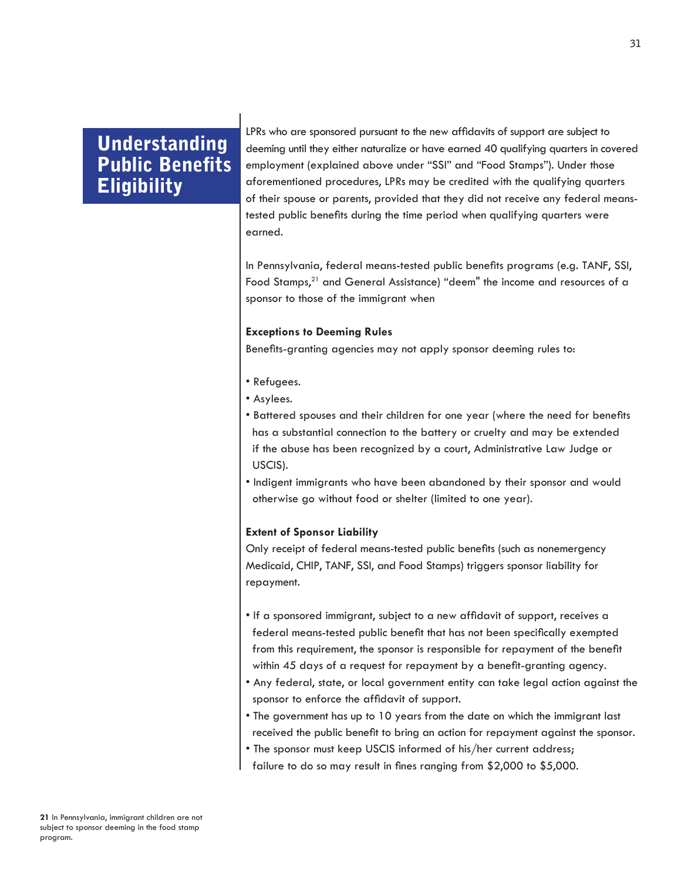LPRs who are sponsored pursuant to the new affidavits of support are subject to deeming until they either naturalize or have earned 40 qualifying quarters in covered employment (explained above under "SSI" and "Food Stamps"). Under those aforementioned procedures, LPRs may be credited with the qualifying quarters of their spouse or parents, provided that they did not receive any federal meanstested public benefits during the time period when qualifying quarters were earned.

In Pennsylvania, federal means-tested public benefits programs (e.g. TANF, SSI, Food Stamps,<sup>21</sup> and General Assistance) "deem" the income and resources of a sponsor to those of the immigrant when

#### **Exceptions to Deeming Rules**

Benefits-granting agencies may not apply sponsor deeming rules to:

- Refugees.
- Asylees.
- Battered spouses and their children for one year (where the need for benefits has a substantial connection to the battery or cruelty and may be extended if the abuse has been recognized by a court, Administrative Law Judge or USCIS).
- Indigent immigrants who have been abandoned by their sponsor and would otherwise go without food or shelter (limited to one year).

### **Extent of Sponsor Liability**

Only receipt of federal means-tested public benefits (such as nonemergency Medicaid, CHIP, TANF, SSI, and Food Stamps) triggers sponsor liability for repayment.

- If a sponsored immigrant, subject to a new affidavit of support, receives a federal means-tested public benefit that has not been specifically exempted from this requirement, the sponsor is responsible for repayment of the benefit within 45 days of a request for repayment by a benefit-granting agency.
- Any federal, state, or local government entity can take legal action against the sponsor to enforce the affidavit of support.
- The government has up to 10 years from the date on which the immigrant last received the public benefit to bring an action for repayment against the sponsor.
- The sponsor must keep USCIS informed of his/her current address; failure to do so may result in fines ranging from \$2,000 to \$5,000.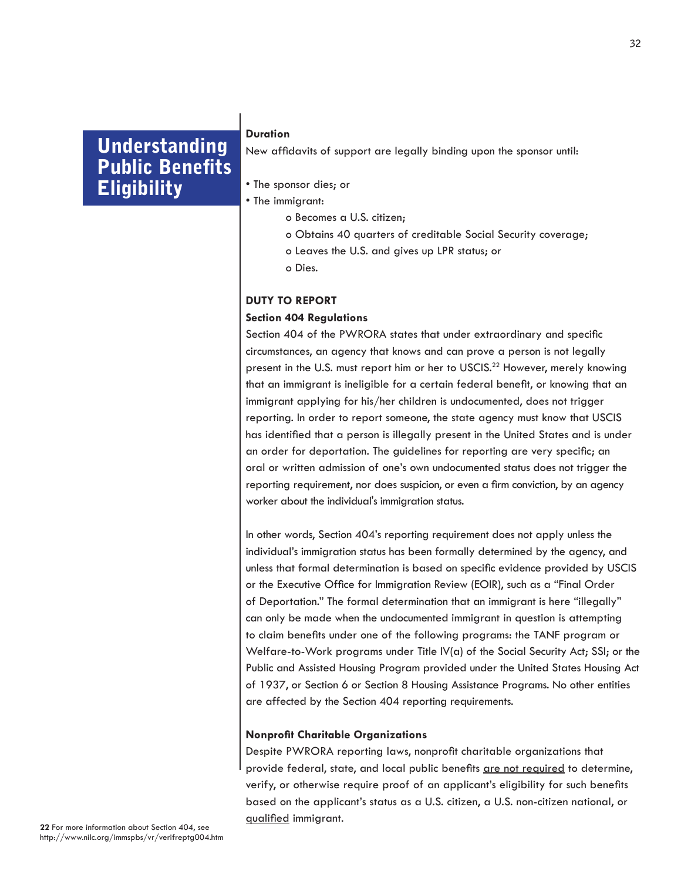#### **Duration**

New affidavits of support are legally binding upon the sponsor until:

- The sponsor dies; or
- The immigrant:
	- o Becomes a U.S. citizen;
	- o Obtains 40 quarters of creditable Social Security coverage;
	- o Leaves the U.S. and gives up LPR status; or
	- o Dies.

### **DUTY TO REPORT**

#### **Section 404 Regulations**

Section 404 of the PWRORA states that under extraordinary and specific circumstances, an agency that knows and can prove a person is not legally present in the U.S. must report him or her to USCIS.<sup>22</sup> However, merely knowing that an immigrant is ineligible for a certain federal benefit, or knowing that an immigrant applying for his/her children is undocumented, does not trigger reporting. In order to report someone, the state agency must know that USCIS has identified that a person is illegally present in the United States and is under an order for deportation. The guidelines for reporting are very specific; an oral or written admission of one's own undocumented status does not trigger the reporting requirement, nor does suspicion, or even a firm conviction, by an agency worker about the individual's immigration status.

In other words, Section 404's reporting requirement does not apply unless the individual's immigration status has been formally determined by the agency, and unless that formal determination is based on specific evidence provided by USCIS or the Executive Office for Immigration Review (EOIR), such as a "Final Order of Deportation." The formal determination that an immigrant is here "illegally" can only be made when the undocumented immigrant in question is attempting to claim benefits under one of the following programs: the TANF program or Welfare-to-Work programs under Title IV(a) of the Social Security Act; SSI; or the Public and Assisted Housing Program provided under the United States Housing Act of 1937, or Section 6 or Section 8 Housing Assistance Programs. No other entities are affected by the Section 404 reporting requirements.

#### **Nonprofit Charitable Organizations**

Despite PWRORA reporting laws, nonprofit charitable organizations that provide federal, state, and local public benefits are not required to determine, verify, or otherwise require proof of an applicant's eligibility for such benefits based on the applicant's status as a U.S. citizen, a U.S. non-citizen national, or qualified immigrant.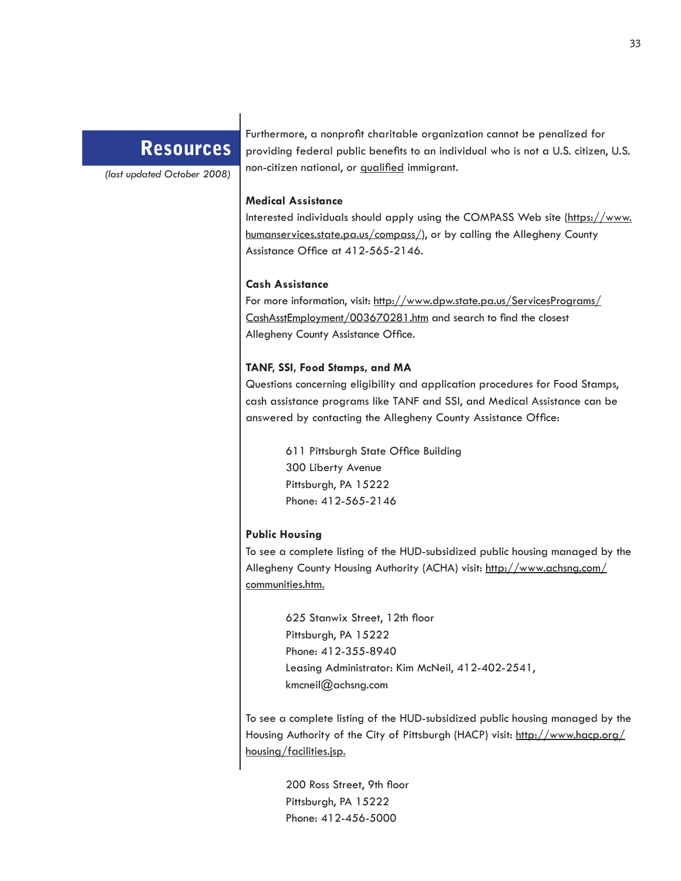*(last updated October 2008)*

Furthermore, a nonprofit charitable organization cannot be penalized for providing federal public benefits to an individual who is not a U.S. citizen, U.S. non-citizen national, or qualified immigrant.

#### **Medical Assistance**

Interested individuals should apply using the COMPASS Web site (https://www. humanservices.state.pa.us/compass/), or by calling the Allegheny County Assistance Office at 412-565-2146.

#### **Cash Assistance**

For more information, visit: http://www.dpw.state.pa.us/ServicesPrograms/ CashAsstEmployment/003670281.htm and search to find the closest Allegheny County Assistance Office.

#### **TANF, SSI, Food Stamps, and MA**

Questions concerning eligibility and application procedures for Food Stamps, cash assistance programs like TANF and SSI, and Medical Assistance can be answered by contacting the Allegheny County Assistance Office:

> 611 Pittsburgh State Office Building 300 Liberty Avenue Pittsburgh, PA 15222 Phone: 412-565-2146

#### **Public Housing**

To see a complete listing of the HUD-subsidized public housing managed by the Allegheny County Housing Authority (ACHA) visit: http://www.achsng.com/ communities.htm.

> 625 Stanwix Street, 12th floor Pittsburgh, PA 15222 Phone: 412-355-8940 Leasing Administrator: Kim McNeil, 412-402-2541, kmcneil@achsng.com

To see a complete listing of the HUD-subsidized public housing managed by the Housing Authority of the City of Pittsburgh (HACP) visit: http://www.hacp.org/ housing/facilities.jsp.

> 200 Ross Street, 9th floor Pittsburgh, PA 15222 Phone: 412-456-5000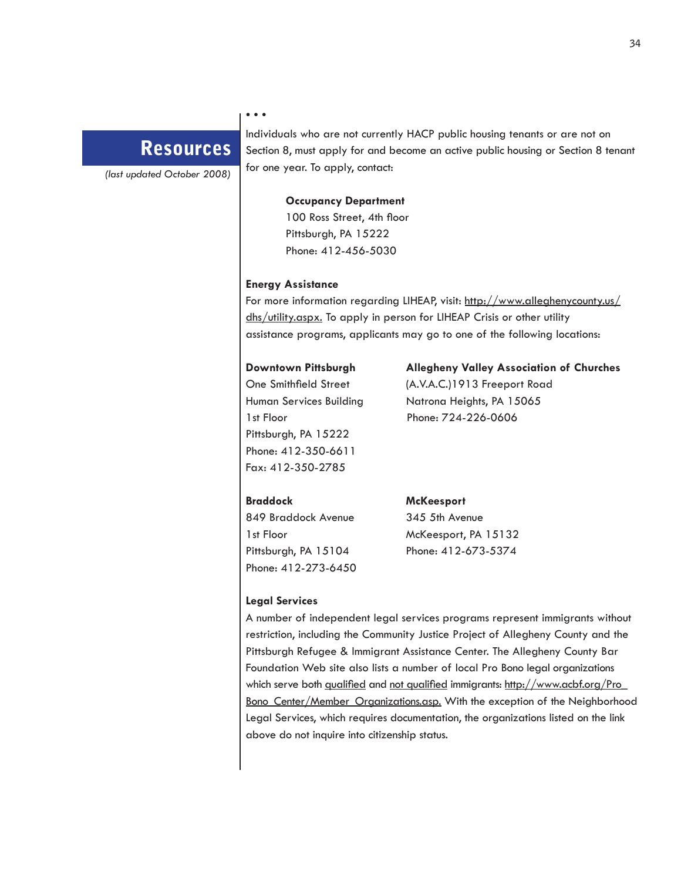#### • • •

### Resources

*(last updated October 2008)*

Individuals who are not currently HACP public housing tenants or are not on Section 8, must apply for and become an active public housing or Section 8 tenant for one year. To apply, contact:

### **Occupancy Department**  100 Ross Street, 4th floor

Pittsburgh, PA 15222 Phone: 412-456-5030

#### **Energy Assistance**

For more information regarding LIHEAP, visit: http://www.alleghenycounty.us/ dhs/utility.aspx. To apply in person for LIHEAP Crisis or other utility assistance programs, applicants may go to one of the following locations:

1st Floor Phone: 724-226-0606 Pittsburgh, PA 15222 Phone: 412-350-6611 Fax: 412-350-2785

**Downtown Pittsburgh Allegheny Valley Association of Churches** One Smithfield Street (A.V.A.C.)1913 Freeport Road Human Services Building Natrona Heights, PA 15065

#### **Braddock McKeesport**

849 Braddock Avenue 345 5th Avenue Phone: 412-273-6450

1st Floor McKeesport, PA 15132 Pittsburgh, PA 15104 Phone: 412-673-5374

#### **Legal Services**

A number of independent legal services programs represent immigrants without restriction, including the Community Justice Project of Allegheny County and the Pittsburgh Refugee & Immigrant Assistance Center. The Allegheny County Bar Foundation Web site also lists a number of local Pro Bono legal organizations which serve both qualified and not qualified immigrants: http://www.acbf.org/Pro\_ Bono\_Center/Member\_Organizations.asp. With the exception of the Neighborhood Legal Services, which requires documentation, the organizations listed on the link above do not inquire into citizenship status.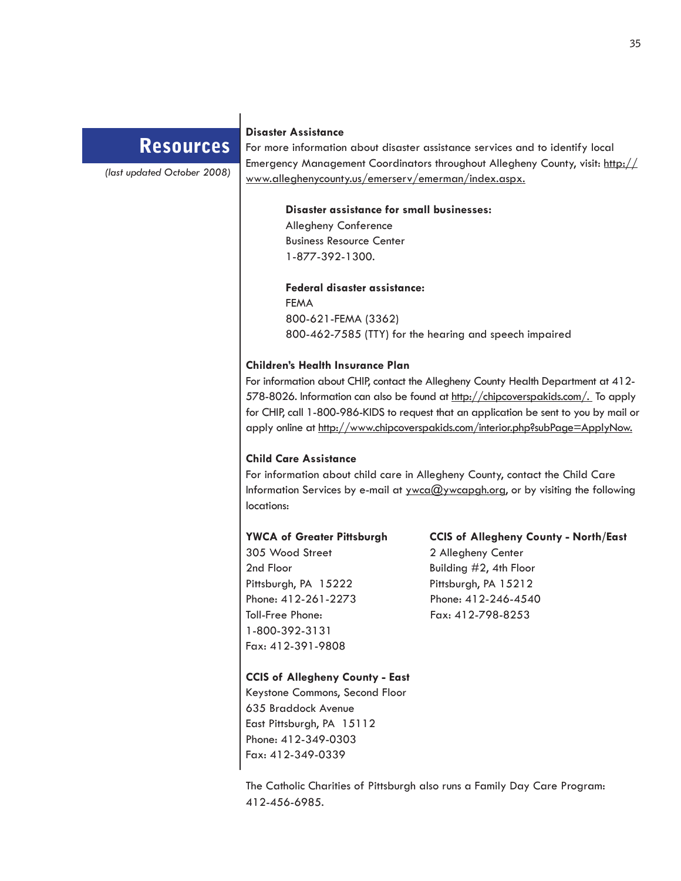*(last updated October 2008)*

#### **Disaster Assistance**

For more information about disaster assistance services and to identify local Emergency Management Coordinators throughout Allegheny County, visit: http:// www.alleghenycounty.us/emerserv/emerman/index.aspx.

#### **Disaster assistance for small businesses:**

Allegheny Conference Business Resource Center 1-877-392-1300.

### **Federal disaster assistance:**

FEMA 800-621-FEMA (3362) 800-462-7585 (TTY) for the hearing and speech impaired

#### **Children's Health Insurance Plan**

For information about CHIP, contact the Allegheny County Health Department at 412- 578-8026. Information can also be found at http://chipcoverspakids.com/. To apply for CHIP, call 1-800-986-KIDS to request that an application be sent to you by mail or apply online at http://www.chipcoverspakids.com/interior.php?subPage=ApplyNow.

### **Child Care Assistance**

For information about child care in Allegheny County, contact the Child Care Information Services by e-mail at  $ywca@ywcapgh.org$ , or by visiting the following locations:

305 Wood Street 2 Allegheny Center 2nd Floor Building #2, 4th Floor Pittsburgh, PA 15222 Pittsburgh, PA 15212 Toll-Free Phone: Fax: 412-798-8253 Fax: 412-391-9808 1-800-392-3131

**YWCA of Greater Pittsburgh CCIS of Allegheny County - North/East**  Phone: 412-261-2273 Phone: 412-246-4540

### **CCIS of Allegheny County - East**

Keystone Commons, Second Floor 635 Braddock Avenue East Pittsburgh, PA 15112 Phone: 412-349-0303 Fax: 412-349-0339

The Catholic Charities of Pittsburgh also runs a Family Day Care Program: 412-456-6985.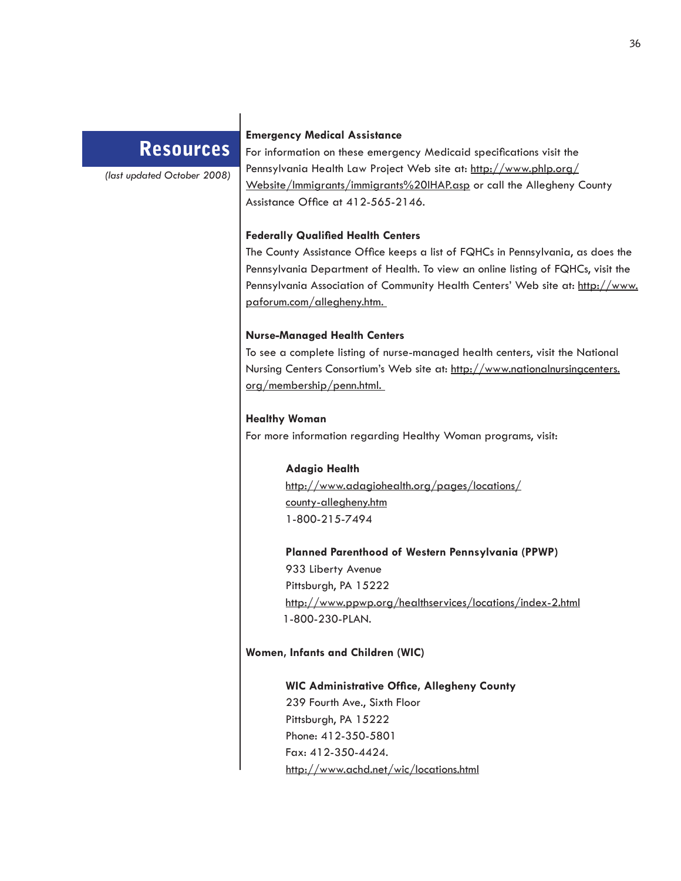*(last updated October 2008)*

#### **Emergency Medical Assistance**

For information on these emergency Medicaid specifications visit the Pennsylvania Health Law Project Web site at: http://www.phlp.org/ Website/Immigrants/immigrants%20IHAP.asp or call the Allegheny County Assistance Office at 412-565-2146.

#### **Federally Qualified Health Centers**

The County Assistance Office keeps a list of FQHCs in Pennsylvania, as does the Pennsylvania Department of Health. To view an online listing of FQHCs, visit the Pennsylvania Association of Community Health Centers' Web site at: http://www. paforum.com/allegheny.htm.

### **Nurse-Managed Health Centers**

To see a complete listing of nurse-managed health centers, visit the National Nursing Centers Consortium's Web site at: http://www.nationalnursingcenters. org/membership/penn.html.

### **Healthy Woman**

For more information regarding Healthy Woman programs, visit:

### **Adagio Health**

http://www.adagiohealth.org/pages/locations/ county-allegheny.htm 1-800-215-7494

### **Planned Parenthood of Western Pennsylvania (PPWP)** 933 Liberty Avenue Pittsburgh, PA 15222 http://www.ppwp.org/healthservices/locations/index-2.html 1-800-230-PLAN.

### **Women, Infants and Children (WIC)**

**WIC Administrative Office, Allegheny County** 239 Fourth Ave., Sixth Floor Pittsburgh, PA 15222 Phone: 412-350-5801 Fax: 412-350-4424. http://www.achd.net/wic/locations.html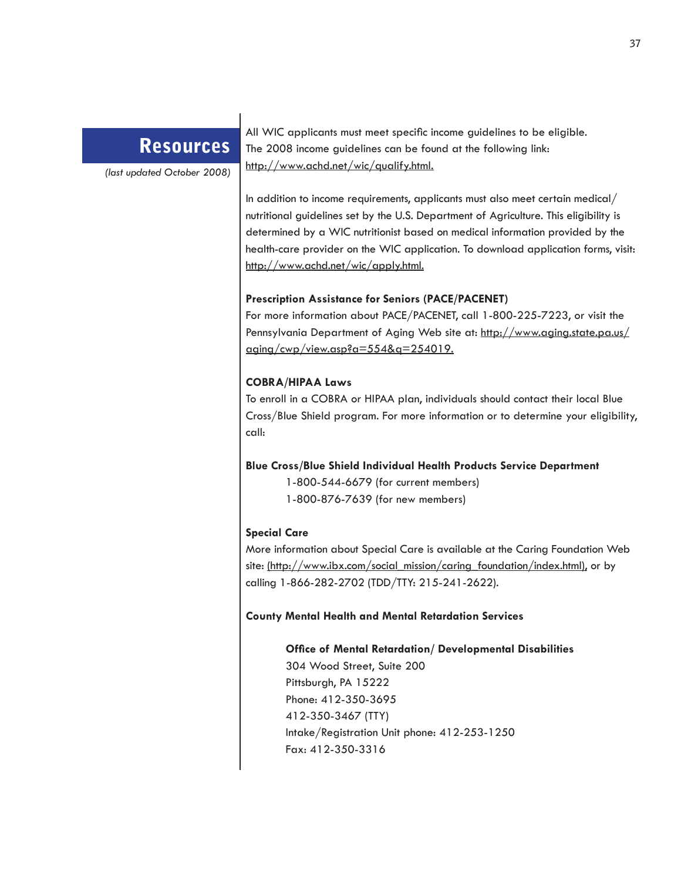*(last updated October 2008)*

All WIC applicants must meet specific income guidelines to be eligible. The 2008 income guidelines can be found at the following link: http://www.achd.net/wic/qualify.html.

In addition to income requirements, applicants must also meet certain medical/ nutritional guidelines set by the U.S. Department of Agriculture. This eligibility is determined by a WIC nutritionist based on medical information provided by the health-care provider on the WIC application. To download application forms, visit: http://www.achd.net/wic/apply.html.

#### **Prescription Assistance for Seniors (PACE/PACENET)**

For more information about PACE/PACENET, call 1-800-225-7223, or visit the Pennsylvania Department of Aging Web site at: http://www.aging.state.pa.us/ aging/cwp/view.asp?a=554&q=254019.

### **COBRA/HIPAA Laws**

To enroll in a COBRA or HIPAA plan, individuals should contact their local Blue Cross/Blue Shield program. For more information or to determine your eligibility, call:

#### **Blue Cross/Blue Shield Individual Health Products Service Department**

1-800-544-6679 (for current members) 1-800-876-7639 (for new members)

#### **Special Care**

More information about Special Care is available at the Caring Foundation Web site: (http://www.ibx.com/social\_mission/caring\_foundation/index.html), or by calling 1-866-282-2702 (TDD/TTY: 215-241-2622).

#### **County Mental Health and Mental Retardation Services**

### **Office of Mental Retardation/ Developmental Disabilities**

304 Wood Street, Suite 200 Pittsburgh, PA 15222 Phone: 412-350-3695 412-350-3467 (TTY) Intake/Registration Unit phone: 412-253-1250 Fax: 412-350-3316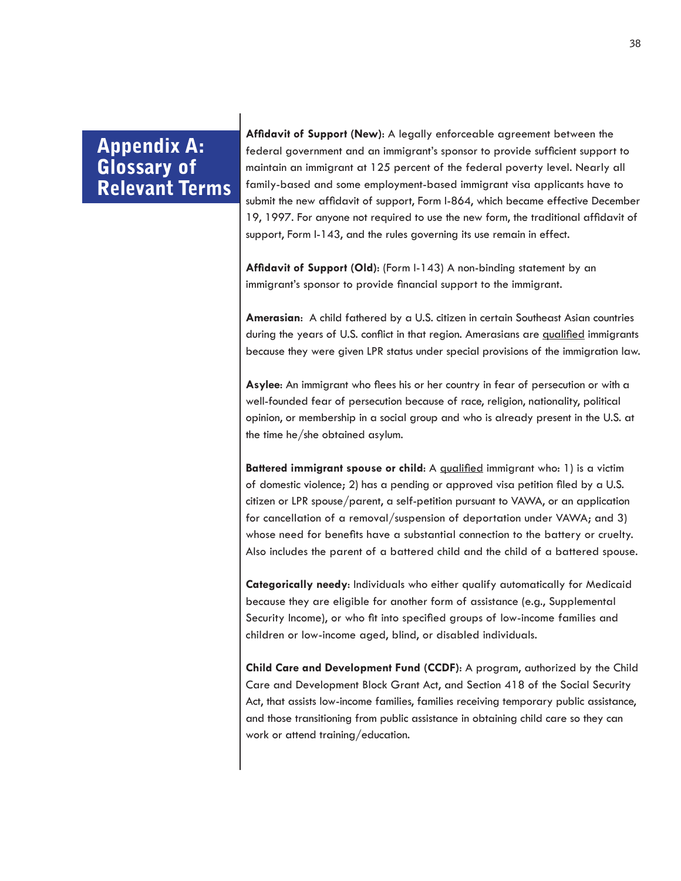**Affidavit of Support (New)**: A legally enforceable agreement between the federal government and an immigrant's sponsor to provide sufficient support to maintain an immigrant at 125 percent of the federal poverty level. Nearly all family-based and some employment-based immigrant visa applicants have to submit the new affidavit of support, Form I-864, which became effective December 19, 1997. For anyone not required to use the new form, the traditional affidavit of support, Form I-143, and the rules governing its use remain in effect.

**Affidavit of Support (Old)**: (Form I-143) A non-binding statement by an immigrant's sponsor to provide financial support to the immigrant.

**Amerasian**: A child fathered by a U.S. citizen in certain Southeast Asian countries during the years of U.S. conflict in that region. Amerasians are qualified immigrants because they were given LPR status under special provisions of the immigration law.

**Asylee**: An immigrant who flees his or her country in fear of persecution or with a well-founded fear of persecution because of race, religion, nationality, political opinion, or membership in a social group and who is already present in the U.S. at the time he/she obtained asylum.

**Battered immigrant spouse or child:** A qualified immigrant who: 1) is a victim of domestic violence; 2) has a pending or approved visa petition filed by a U.S. citizen or LPR spouse/parent, a self-petition pursuant to VAWA, or an application for cancellation of a removal/suspension of deportation under VAWA; and 3) whose need for benefits have a substantial connection to the battery or cruelty. Also includes the parent of a battered child and the child of a battered spouse.

**Categorically needy**: Individuals who either qualify automatically for Medicaid because they are eligible for another form of assistance (e.g., Supplemental Security Income), or who fit into specified groups of low-income families and children or low-income aged, blind, or disabled individuals.

**Child Care and Development Fund (CCDF)**: A program, authorized by the Child Care and Development Block Grant Act, and Section 418 of the Social Security Act, that assists low-income families, families receiving temporary public assistance, and those transitioning from public assistance in obtaining child care so they can work or attend training/education.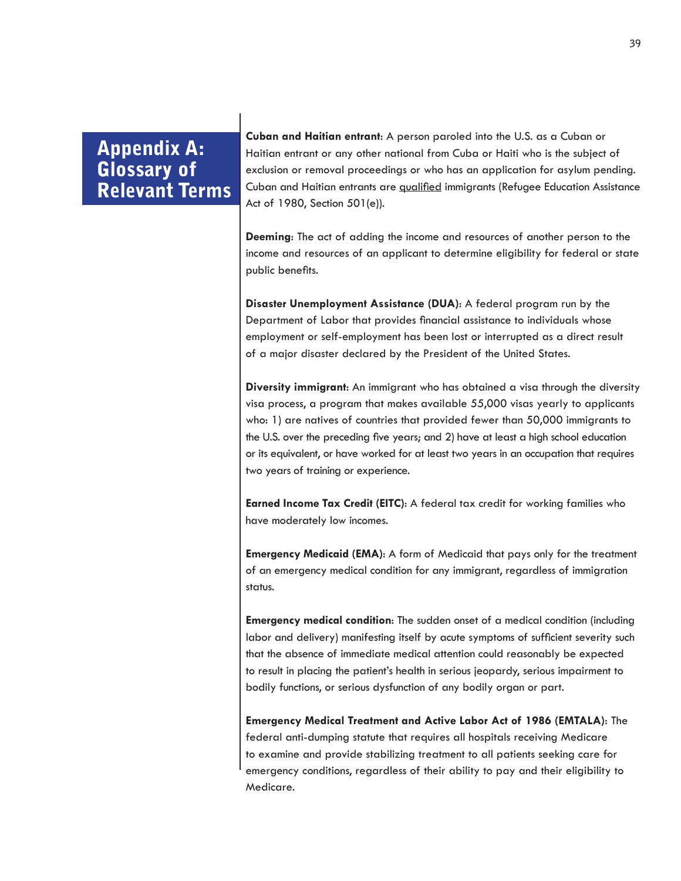**Cuban and Haitian entrant**: A person paroled into the U.S. as a Cuban or Haitian entrant or any other national from Cuba or Haiti who is the subject of exclusion or removal proceedings or who has an application for asylum pending. Cuban and Haitian entrants are qualified immigrants (Refugee Education Assistance Act of 1980, Section 501(e)).

**Deeming**: The act of adding the income and resources of another person to the income and resources of an applicant to determine eligibility for federal or state public benefits.

**Disaster Unemployment Assistance (DUA)**: A federal program run by the Department of Labor that provides financial assistance to individuals whose employment or self-employment has been lost or interrupted as a direct result of a major disaster declared by the President of the United States.

**Diversity immigrant**: An immigrant who has obtained a visa through the diversity visa process, a program that makes available 55,000 visas yearly to applicants who: 1) are natives of countries that provided fewer than 50,000 immigrants to the U.S. over the preceding five years; and 2) have at least a high school education or its equivalent, or have worked for at least two years in an occupation that requires two years of training or experience.

**Earned Income Tax Credit (EITC)**: A federal tax credit for working families who have moderately low incomes.

**Emergency Medicaid (EMA):** A form of Medicaid that pays only for the treatment of an emergency medical condition for any immigrant, regardless of immigration status.

**Emergency medical condition**: The sudden onset of a medical condition (including labor and delivery) manifesting itself by acute symptoms of sufficient severity such that the absence of immediate medical attention could reasonably be expected to result in placing the patient's health in serious jeopardy, serious impairment to bodily functions, or serious dysfunction of any bodily organ or part.

**Emergency Medical Treatment and Active Labor Act of 1986 (EMTALA)**: The federal anti-dumping statute that requires all hospitals receiving Medicare to examine and provide stabilizing treatment to all patients seeking care for emergency conditions, regardless of their ability to pay and their eligibility to Medicare.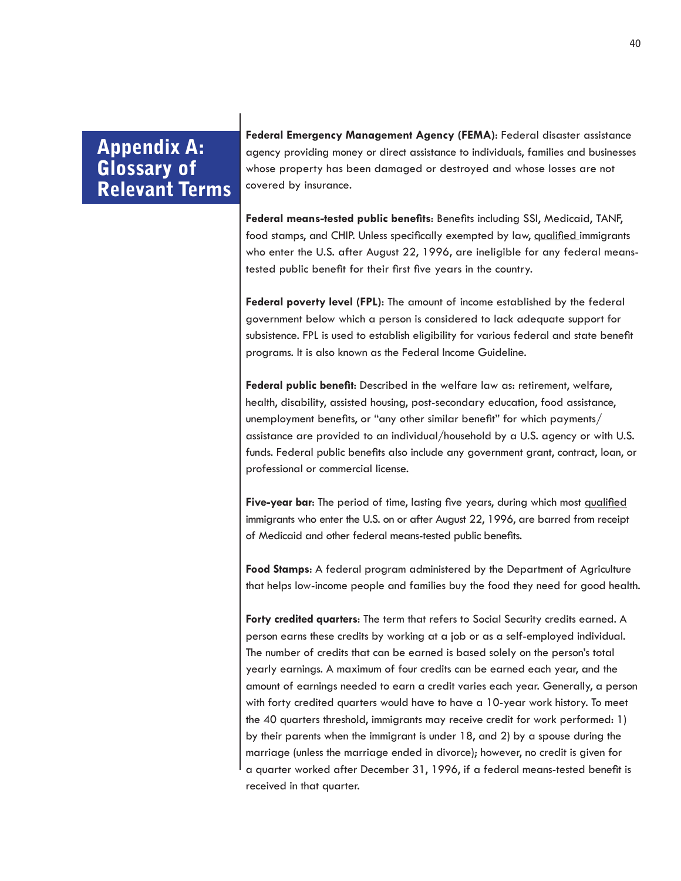**Federal Emergency Management Agency (FEMA)**: Federal disaster assistance agency providing money or direct assistance to individuals, families and businesses whose property has been damaged or destroyed and whose losses are not covered by insurance.

**Federal means-tested public benefits**: Benefits including SSI, Medicaid, TANF, food stamps, and CHIP. Unless specifically exempted by law, qualified immigrants who enter the U.S. after August 22, 1996, are ineligible for any federal meanstested public benefit for their first five years in the country.

**Federal poverty level (FPL)**: The amount of income established by the federal government below which a person is considered to lack adequate support for subsistence. FPL is used to establish eligibility for various federal and state benefit programs. It is also known as the Federal Income Guideline.

**Federal public benefit**: Described in the welfare law as: retirement, welfare, health, disability, assisted housing, post-secondary education, food assistance, unemployment benefits, or "any other similar benefit" for which payments/ assistance are provided to an individual/household by a U.S. agency or with U.S. funds. Federal public benefits also include any government grant, contract, loan, or professional or commercial license.

**Five-year bar:** The period of time, lasting five years, during which most qualified immigrants who enter the U.S. on or after August 22, 1996, are barred from receipt of Medicaid and other federal means-tested public benefits.

**Food Stamps**: A federal program administered by the Department of Agriculture that helps low-income people and families buy the food they need for good health.

**Forty credited quarters**: The term that refers to Social Security credits earned. A person earns these credits by working at a job or as a self-employed individual. The number of credits that can be earned is based solely on the person's total yearly earnings. A maximum of four credits can be earned each year, and the amount of earnings needed to earn a credit varies each year. Generally, a person with forty credited quarters would have to have a 10-year work history. To meet the 40 quarters threshold, immigrants may receive credit for work performed: 1) by their parents when the immigrant is under 18, and 2) by a spouse during the marriage (unless the marriage ended in divorce); however, no credit is given for a quarter worked after December 31, 1996, if a federal means-tested benefit is received in that quarter.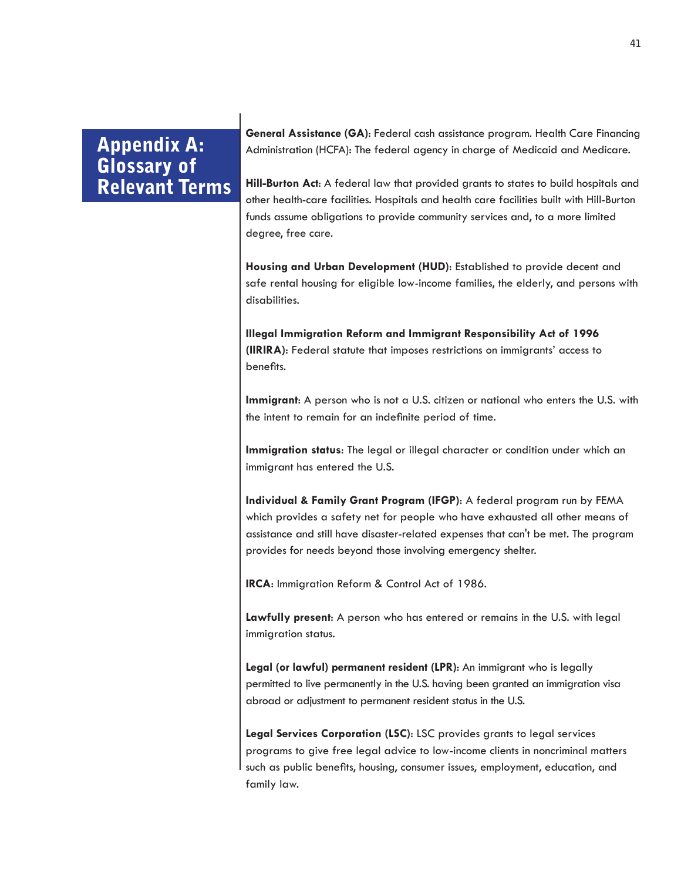**General Assistance (GA)**: Federal cash assistance program. Health Care Financing Administration (HCFA): The federal agency in charge of Medicaid and Medicare.

**Hill-Burton Act**: A federal law that provided grants to states to build hospitals and other health-care facilities. Hospitals and health care facilities built with Hill-Burton funds assume obligations to provide community services and, to a more limited degree, free care.

**Housing and Urban Development (HUD)**: Established to provide decent and safe rental housing for eligible low-income families, the elderly, and persons with disabilities.

**Illegal Immigration Reform and Immigrant Responsibility Act of 1996 (IIRIRA)**: Federal statute that imposes restrictions on immigrants' access to benefits.

**Immigrant**: A person who is not a U.S. citizen or national who enters the U.S. with the intent to remain for an indefinite period of time.

**Immigration status**: The legal or illegal character or condition under which an immigrant has entered the U.S.

**Individual & Family Grant Program (IFGP)**: A federal program run by FEMA which provides a safety net for people who have exhausted all other means of assistance and still have disaster-related expenses that can't be met. The program provides for needs beyond those involving emergency shelter.

**IRCA**: Immigration Reform & Control Act of 1986.

**Lawfully present**: A person who has entered or remains in the U.S. with legal immigration status.

**Legal (or lawful) permanent resident (LPR)**: An immigrant who is legally permitted to live permanently in the U.S. having been granted an immigration visa abroad or adjustment to permanent resident status in the U.S.

**Legal Services Corporation (LSC)**: LSC provides grants to legal services programs to give free legal advice to low-income clients in noncriminal matters such as public benefits, housing, consumer issues, employment, education, and family law.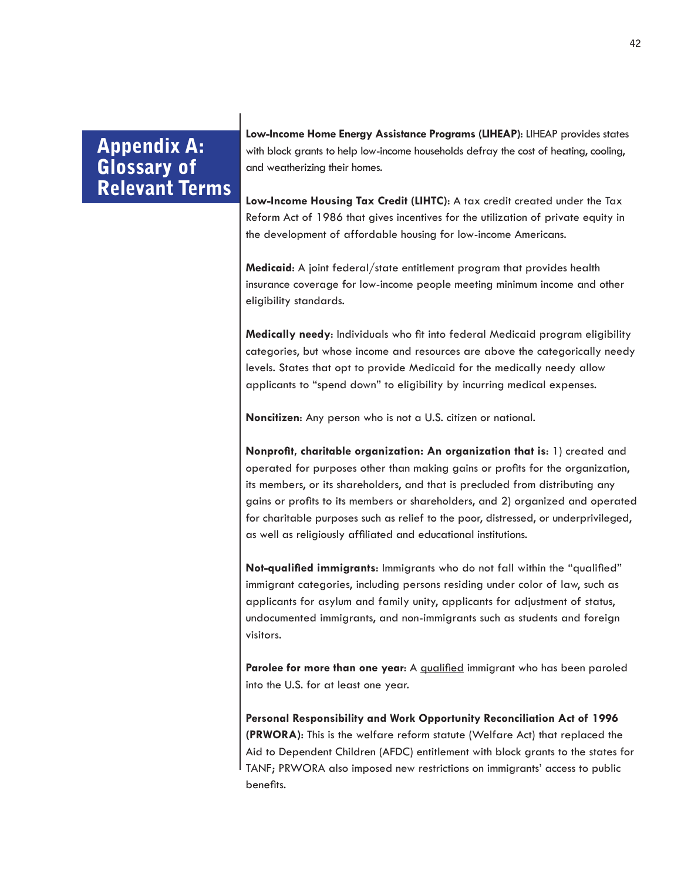**Low-Income Home Energy Assistance Programs (LIHEAP)**: LIHEAP provides states with block grants to help low-income households defray the cost of heating, cooling, and weatherizing their homes.

**Low-Income Housing Tax Credit (LIHTC)**: A tax credit created under the Tax Reform Act of 1986 that gives incentives for the utilization of private equity in the development of affordable housing for low-income Americans.

**Medicaid**: A joint federal/state entitlement program that provides health insurance coverage for low-income people meeting minimum income and other eligibility standards.

**Medically needy**: Individuals who fit into federal Medicaid program eligibility categories, but whose income and resources are above the categorically needy levels. States that opt to provide Medicaid for the medically needy allow applicants to "spend down" to eligibility by incurring medical expenses.

**Noncitizen**: Any person who is not a U.S. citizen or national.

**Nonprofit, charitable organization: An organization that is**: 1) created and operated for purposes other than making gains or profits for the organization, its members, or its shareholders, and that is precluded from distributing any gains or profits to its members or shareholders, and 2) organized and operated for charitable purposes such as relief to the poor, distressed, or underprivileged, as well as religiously affiliated and educational institutions.

**Not-qualified immigrants**: Immigrants who do not fall within the "qualified" immigrant categories, including persons residing under color of law, such as applicants for asylum and family unity, applicants for adjustment of status, undocumented immigrants, and non-immigrants such as students and foreign visitors.

**Parolee for more than one year**: A qualified immigrant who has been paroled into the U.S. for at least one year.

**Personal Responsibility and Work Opportunity Reconciliation Act of 1996 (PRWORA)**: This is the welfare reform statute (Welfare Act) that replaced the Aid to Dependent Children (AFDC) entitlement with block grants to the states for TANF; PRWORA also imposed new restrictions on immigrants' access to public benefits.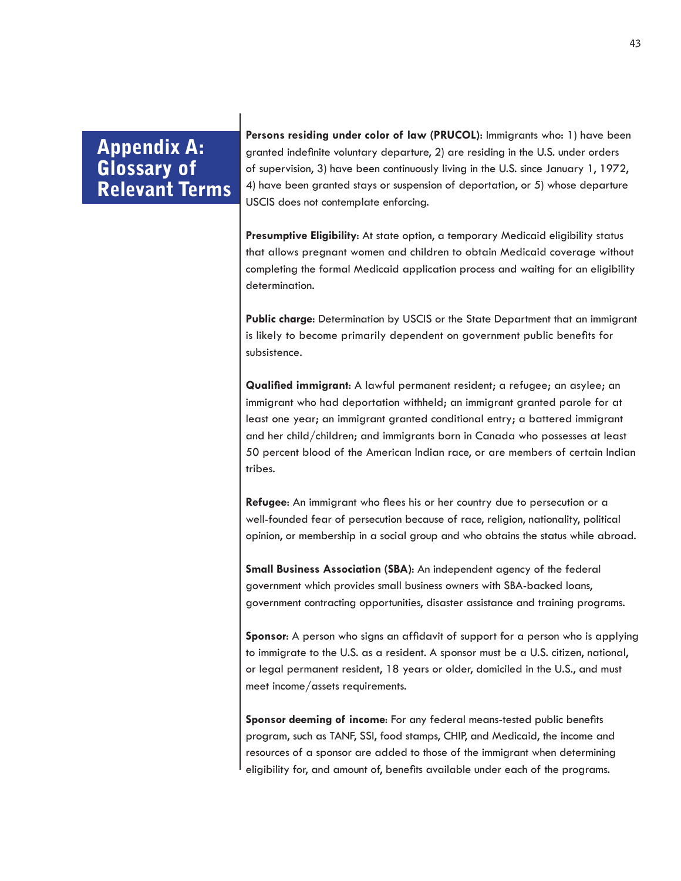**Persons residing under color of law (PRUCOL)**: Immigrants who: 1) have been granted indefinite voluntary departure, 2) are residing in the U.S. under orders of supervision, 3) have been continuously living in the U.S. since January 1, 1972, 4) have been granted stays or suspension of deportation, or 5) whose departure USCIS does not contemplate enforcing.

**Presumptive Eligibility**: At state option, a temporary Medicaid eligibility status that allows pregnant women and children to obtain Medicaid coverage without completing the formal Medicaid application process and waiting for an eligibility determination.

**Public charge**: Determination by USCIS or the State Department that an immigrant is likely to become primarily dependent on government public benefits for subsistence.

**Qualified immigrant**: A lawful permanent resident; a refugee; an asylee; an immigrant who had deportation withheld; an immigrant granted parole for at least one year; an immigrant granted conditional entry; a battered immigrant and her child/children; and immigrants born in Canada who possesses at least 50 percent blood of the American Indian race, or are members of certain Indian tribes.

**Refugee**: An immigrant who flees his or her country due to persecution or a well-founded fear of persecution because of race, religion, nationality, political opinion, or membership in a social group and who obtains the status while abroad.

**Small Business Association (SBA)**: An independent agency of the federal government which provides small business owners with SBA-backed loans, government contracting opportunities, disaster assistance and training programs.

**Sponsor**: A person who signs an affidavit of support for a person who is applying to immigrate to the U.S. as a resident. A sponsor must be a U.S. citizen, national, or legal permanent resident, 18 years or older, domiciled in the U.S., and must meet income/assets requirements.

**Sponsor deeming of income**: For any federal means-tested public benefits program, such as TANF, SSI, food stamps, CHIP, and Medicaid, the income and resources of a sponsor are added to those of the immigrant when determining eligibility for, and amount of, benefits available under each of the programs.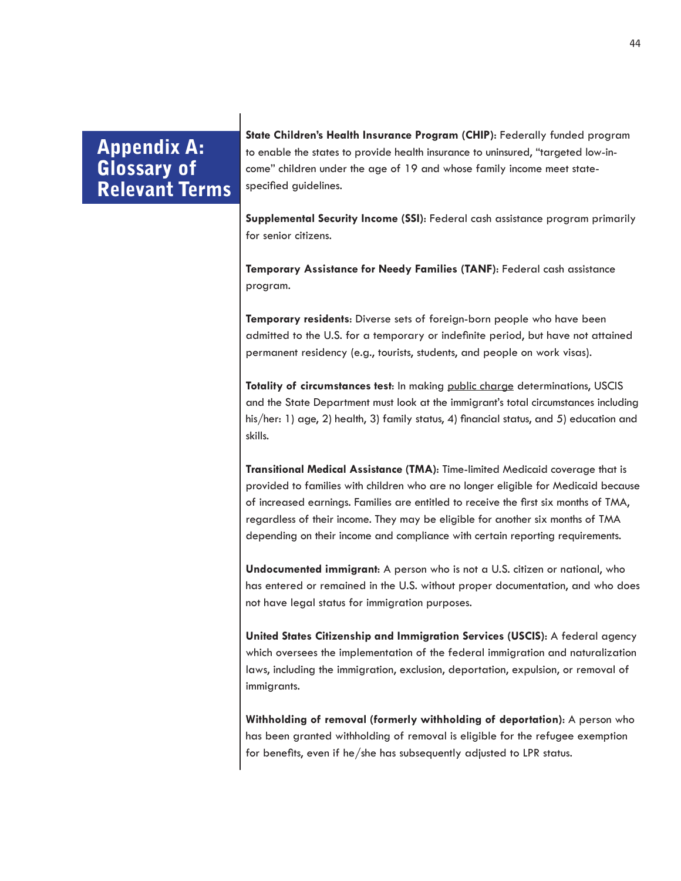**State Children's Health Insurance Program (CHIP)**: Federally funded program to enable the states to provide health insurance to uninsured, "targeted low-income" children under the age of 19 and whose family income meet statespecified guidelines.

**Supplemental Security Income (SSI)**: Federal cash assistance program primarily for senior citizens.

**Temporary Assistance for Needy Families (TANF)**: Federal cash assistance program.

**Temporary residents**: Diverse sets of foreign-born people who have been admitted to the U.S. for a temporary or indefinite period, but have not attained permanent residency (e.g., tourists, students, and people on work visas).

**Totality of circumstances test**: In making public charge determinations, USCIS and the State Department must look at the immigrant's total circumstances including his/her: 1) age, 2) health, 3) family status, 4) financial status, and 5) education and skills.

**Transitional Medical Assistance (TMA)**: Time-limited Medicaid coverage that is provided to families with children who are no longer eligible for Medicaid because of increased earnings. Families are entitled to receive the first six months of TMA, regardless of their income. They may be eligible for another six months of TMA depending on their income and compliance with certain reporting requirements.

**Undocumented immigrant**: A person who is not a U.S. citizen or national, who has entered or remained in the U.S. without proper documentation, and who does not have legal status for immigration purposes.

**United States Citizenship and Immigration Services (USCIS)**: A federal agency which oversees the implementation of the federal immigration and naturalization laws, including the immigration, exclusion, deportation, expulsion, or removal of immigrants.

**Withholding of removal (formerly withholding of deportation)**: A person who has been granted withholding of removal is eligible for the refugee exemption for benefits, even if he/she has subsequently adjusted to LPR status.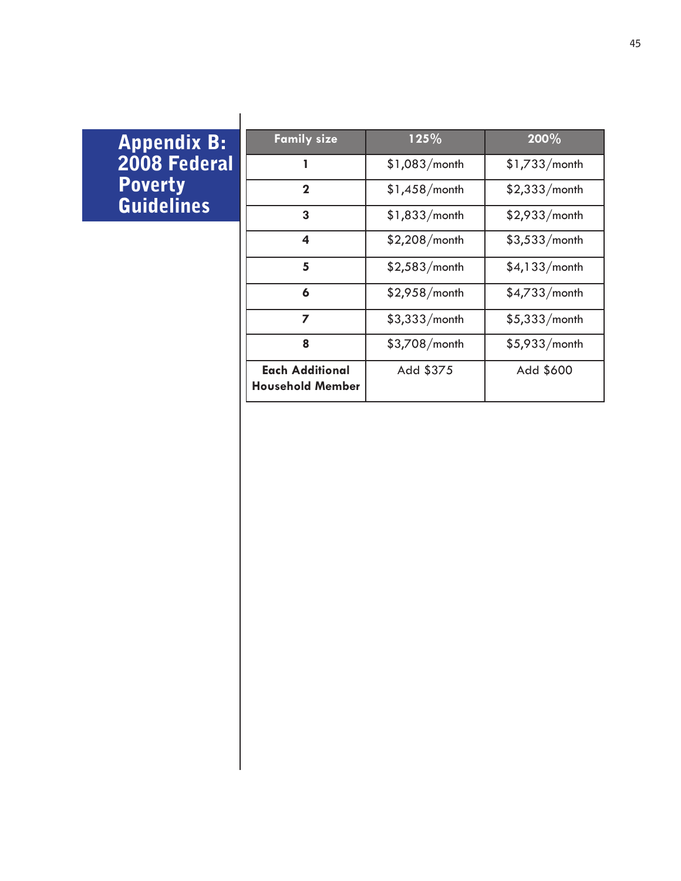### Appendix B: 2008 Federal **Poverty** Guidelines

| <b>Family size</b>                                | 125%            | 200%            |
|---------------------------------------------------|-----------------|-----------------|
| 1                                                 | $$1,083/m$ onth | $$1,733/m$ onth |
| $\mathbf 2$                                       | $$1,458/m$ onth | $$2,333/m$ onth |
| 3                                                 | $$1,833/m$ onth | $$2,933/m$ onth |
| 4                                                 | \$2,208/month   | $$3,533/m$ onth |
| 5                                                 | $$2,583/m$ onth | $$4,133/m$ onth |
| 6                                                 | \$2,958/month   | $$4,733/m$ onth |
| 7                                                 | $$3,333/m$ onth | $$5,333/m$ onth |
| 8                                                 | $$3,708/m$ onth | $$5,933/m$ onth |
| <b>Each Additional</b><br><b>Household Member</b> | Add \$375       | Add \$600       |